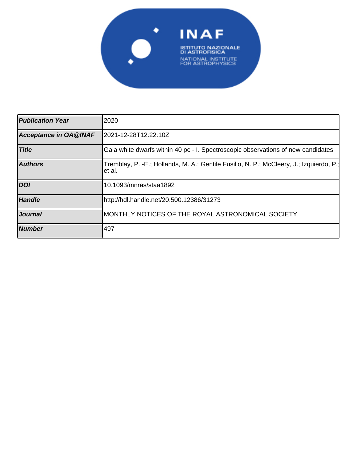

| <b>Publication Year</b>      | 2020                                                                                              |
|------------------------------|---------------------------------------------------------------------------------------------------|
| <b>Acceptance in OA@INAF</b> | 2021-12-28T12:22:10Z                                                                              |
| <b>Title</b>                 | Gaia white dwarfs within 40 pc - I. Spectroscopic observations of new candidates                  |
| <b>Authors</b>               | Tremblay, P. -E.; Hollands, M. A.; Gentile Fusillo, N. P.; McCleery, J.; Izquierdo, P.;<br>et al. |
| <b>DOI</b>                   | 10.1093/mnras/staa1892                                                                            |
| <b>Handle</b>                | http://hdl.handle.net/20.500.12386/31273                                                          |
| <b>Journal</b>               | MONTHLY NOTICES OF THE ROYAL ASTRONOMICAL SOCIETY                                                 |
| <b>Number</b>                | 1497                                                                                              |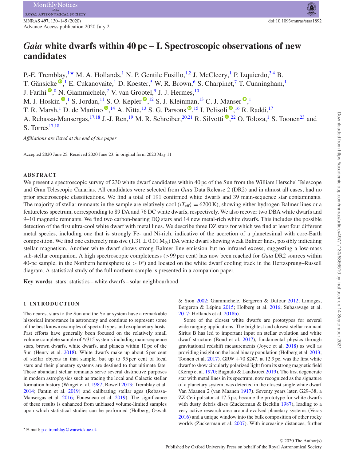# *Gaia* **white dwarfs within 40 pc – I. Spectroscopic observations of new candidates**

P.-E. Tremblay,<sup>1\*</sup> M. A. Hollands,<sup>1</sup> N. P. Gentile Fusillo,<sup>1,2</sup> J. McCleery,<sup>1</sup> P. Izquierdo,<sup>3,4</sup> B. T. Gänsicke<sup>®</sup>[,](http://orcid.org/0000-0002-2761-3005)<sup>1</sup> E. Cukanovaite,<sup>1</sup> D. Koester,<sup>5</sup> W. R. Brown,<sup>6</sup> S. Charpinet,<sup>7</sup> T. Cunningham,<sup>1</sup> J. Farihi  $\mathbb{P}^8$ [,](http://orcid.org/0000-0003-1748-602X) N. Giammichele, <sup>7</sup> V. van Grootel, <sup>9</sup> J. J. Hermes,  $^{10}$ M. J. Hoskin  $\mathbb{P}$ [,](http://orcid.org/0000-0003-1543-5405)<sup>1</sup> S. Jordan, <sup>11</sup> S. O. Kepler  $\mathbb{P}$ , <sup>12</sup> S. J. Kleinman, <sup>13</sup> C. J. Manser  $\mathbb{P}$ , <sup>1</sup> T. R. Marsh[,](http://orcid.org/0000-0003-4615-6556)<sup>1</sup> D. de Martino <sup>(1,1</sup> A. Nitta, <sup>13</sup> S. G. Parsons  $\mathbb{P}$ , <sup>15</sup> I. Pelisoli  $\mathbb{P}$ , <sup>16</sup> R. Raddi, <sup>17</sup> A. Rebassa-Mansergas[,](http://orcid.org/0000-0002-1295-8174) <sup>17,18</sup> J.-J. Ren, <sup>19</sup> M. R. Schreiber, <sup>20,21</sup> R. Silvotti <sup>®</sup>, <sup>22</sup> O. Toloza, <sup>1</sup> S. Toonen<sup>23</sup> and S. Torres $17,18$ 

*Affiliations are listed at the end of the paper*

Accepted 2020 June 25. Received 2020 June 23; in original form 2020 May 11

#### **ABSTRACT**

We present a spectroscopic survey of 230 white dwarf candidates within 40 pc of the Sun from the William Herschel Telescope and Gran Telescopio Canarias. All candidates were selected from *Gaia* Data Release 2 (DR2) and in almost all cases, had no prior spectroscopic classifications. We find a total of 191 confirmed white dwarfs and 39 main-sequence star contaminants. The majority of stellar remnants in the sample are relatively cool ( $\langle T_{\text{eff}} \rangle = 6200 \text{ K}$ ), showing either hydrogen Balmer lines or a featureless spectrum, corresponding to 89 DA and 76 DC white dwarfs, respectively. We also recover two DBA white dwarfs and 9–10 magnetic remnants. We find two carbon-bearing DQ stars and 14 new metal-rich white dwarfs. This includes the possible detection of the first ultra-cool white dwarf with metal lines. We describe three DZ stars for which we find at least four different metal species, including one that is strongly Fe- and Ni-rich, indicative of the accretion of a planetesimal with core-Earth composition. We find one extremely massive  $(1.31 \pm 0.01 M_{\odot})$  DA white dwarf showing weak Balmer lines, possibly indicating stellar magnetism. Another white dwarf shows strong Balmer line emission but no infrared excess, suggesting a low-mass sub-stellar companion. A high spectroscopic completeness (*>*99 per cent) has now been reached for *Gaia* DR2 sources within 40-pc sample, in the Northern hemisphere (*δ >* 0◦) and located on the white dwarf cooling track in the Hertzsprung–Russell diagram. A statistical study of the full northern sample is presented in a companion paper.

**Key words:** stars: statistics – white dwarfs – solar neighbourhood.

## **1 INTRODUCTION**

The nearest stars to the Sun and the Solar system have a remarkable historical importance in astronomy and continue to represent some of the best known examples of spectral types and exoplanetary hosts. Past efforts have generally been focused on the relatively small volume complete sample of ≈315 systems including main-sequence stars, brown dwarfs, white dwarfs, and planets within 10 pc of the Sun (Henry et al. 2018). White dwarfs make up about 6 per cent of stellar objects in that sample, but up to 95 per cent of local stars and their planetary systems are destined to that ultimate fate. These abundant stellar remnants serve several distinctive purposes in modern astrophysics such as tracing the local and Galactic stellar formation history (Winget et al. 1987; Rowell 2013; Tremblay et al. 2014; Fantin et al. 2019) and calibrating stellar ages (Rebassa-Mansergas et al. 2016; Fouesneau et al. 2019). The significance of these results is enhanced from unbiased volume-limited samples upon which statistical studies can be performed (Holberg, Oswalt & Sion 2002; Giammichele, Bergeron & Dufour 2012; Limoges, Bergeron & Lépine 2015; Holberg et al. 2016; Subasavage et al. 2017; Hollands et al. 2018b).

Some of the closest white dwarfs are prototypes for several wide ranging applications. The brightest and closest stellar remnant Sirius B has led to important input on stellar evolution and white dwarf structure (Bond et al. 2017), fundamental physics through gravitational redshift measurements (Joyce et al. 2018) as well as providing insight on the local binary population (Holberg et al. 2013; Toonen et al.  $2017$ ). GRW  $+708247$ , at 12.9 pc, was the first white dwarf to show circularly polarized light from its strong magnetic field (Kemp et al. 1970; Bagnulo & Landstreet 2019). The first degenerate star with metal lines in its spectrum, now recognized as the signature of a planetary system, was detected in the closest single white dwarf Van Maanen 2 (van Maanen 1917). Seventy years later, G29–38, a ZZ Ceti pulsator at 17.5 pc, became the prototype for white dwarfs with dusty debris discs (Zuckerman & Becklin 1987), leading to a very active research area around evolved planetary systems (Veras 2016) and a unique window into the bulk composition of other rocky worlds (Zuckerman et al. 2007). With increasing distances, further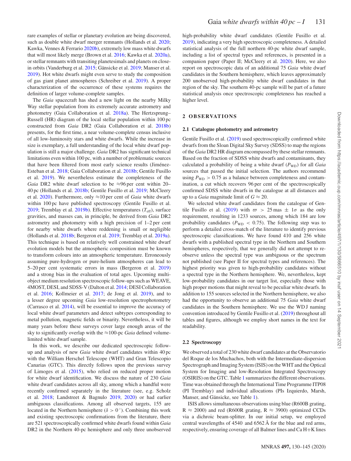rare examples of stellar or planetary evolution are being discovered, such as double white dwarf merger remnants (Hollands et al. 2020; Kawka, Vennes & Ferrario 2020b), extremely low mass white dwarfs that will most likely merge (Brown et al. 2016; Kawka et al. 2020a), or stellar remnants with transiting planetesimals and planets on closein orbits (Vanderburg et al. 2015; Gänsicke et al. 2019; Manser et al. 2019). Hot white dwarfs might even serve to study the composition of gas giant planet atmospheres (Schreiber et al. 2019). A proper characterization of the occurrence of these systems requires the definition of larger volume-complete samples.

The *Gaia* spacecraft has shed a new light on the nearby Milky Way stellar population from its extremely accurate astrometry and photometry (Gaia Collaboration et al. 2018a). The Hertzsprung– Russell (HR) diagram of the local stellar population within 100 pc constructed from *Gaia* DR2 (Gaia Collaboration et al. 2018b) presents, for the first time, a near volume-complete census inclusive of all low-luminosity stars and white dwarfs. While the increase in size is exemplary, a full understanding of the local white dwarf population is still a major challenge. *Gaia* DR2 has significant technical limitations even within 100 pc, with a number of problematic sources that have been filtered from most early science results (Jiménez-Esteban et al. 2018; Gaia Collaboration et al. 2018b; Gentile Fusillo et al. 2019). We nevertheless estimate the completeness of the *Gaia* DR2 white dwarf selection to be ≈96 per cent within 20– 40 pc (Hollands et al. 2018b; Gentile Fusillo et al. 2019; McCleery et al. 2020). Furthermore, only ≈10 per cent of *Gaia* white dwarfs within 100 pc have published spectroscopy (Gentile Fusillo et al. 2019; Tremblay et al. 2019b). Effective temperatures  $(T_{\text{eff}})$ , surface gravities, and masses can, in principle, be derived from *Gaia* DR2 astrometry and photometry with a high precision of 1–2 per cent for nearby white dwarfs where reddening is small or negligible (Hollands et al. 2018b; Bergeron et al. 2019; Tremblay et al. 2019a). This technique is based on relatively well constrained white dwarf evolution models but the atmospheric composition must be known to transform colours into an atmospheric temperature. Erroneously assuming pure-hydrogen or pure-helium atmospheres can lead to 5–20 per cent systematic errors in mass (Bergeron et al. 2019) and a strong bias in the evaluation of total ages. Upcoming multiobject medium resolution spectroscopic follow-ups such as WEAVE, 4MOST, DESI, and SDSS-V (Dalton et al. 2014; DESI Collaboration et al. 2016; Kollmeier et al. 2017; de Jong et al. 2019), and to a lesser degree upcoming *Gaia* low-resolution spectrophotometry (Carrasco et al. 2014), will be essential to improve the accuracy of local white dwarf parameters and detect subtypes corresponding to metal pollution, magnetic fields or binarity. Nevertheless, it will be many years before these surveys cover large enough areas of the sky to significantly overlap with the ≈100-pc *Gaia* defined volumelimited white dwarf sample.

In this work, we describe our dedicated spectroscopic followup and analysis of new *Gaia* white dwarf candidates within 40 pc with the William Herschel Telescope (WHT) and Gran Telescopio Canarias (GTC). This directly follows upon the previous survey of Limoges et al. (2015), who relied on reduced proper motion for white dwarf identification. We discuss the nature of 230 *Gaia* white dwarf candidates across all sky, among which a handful were recently confirmed separately in the literature (see, e.g. Scholz et al. 2018; Landstreet & Bagnulo 2019, 2020) or had earlier ambiguous classifications. Among all observed targets, 155 are located in the Northern hemisphere ( $\delta > 0^\circ$ ). Combining this work and existing spectroscopic confirmations from the literature, there are 521 spectroscopically confirmed white dwarfs found within *Gaia* DR2 in the Northern 40-pc hemisphere and only three unobserved

high-probability white dwarf candidates (Gentile Fusillo et al. 2019), indicating a very high spectroscopic completeness. A detailed statistical analysis of the full northern 40-pc white dwarf sample, including a list of spectral types and references, is presented in a companion paper (Paper II; McCleery et al. 2020). Here, we also report on spectroscopic data of an additional 75 *Gaia* white dwarf candidates in the Southern hemisphere, which leaves approximately 200 unobserved high-probability white dwarf candidates in that region of the sky. The southern 40-pc sample will be part of a future statistical analysis once spectroscopic completeness has reached a higher level.

#### **2 OB SE RVAT IO N S**

#### **2.1 Catalogue photometry and astrometry**

Gentile Fusillo et al. (2019) used spectroscopically confirmed white dwarfs from the Sloan Digital Sky Survey (SDSS) to map the regions of the *Gaia* DR2 HR diagram encompassed by these stellar remnants. Based on the fraction of SDSS white dwarfs and contaminants, they calculated a probability of being a white dwarf ( $P_{WD}$ ) for all *Gaia* sources that passed the initial selection. The authors recommend using  $P_{WD} > 0.75$  as a balance between completeness and contamination, a cut which recovers 96 per cent of the spectroscopically confirmed SDSS white dwarfs in the catalogue at all distances and up to a *Gaia* magnitude limit of  $G \approx 20$ .

We selected white dwarf candidates from the catalogue of Gentile Fusillo et al. (2019) with  $\overline{\omega} > 25$  mas  $\pm 1\sigma$  as the only requirement, resulting in 1233 sources, among which 184 are low probability candidates ( $P_{WD}$  < 0.75). The following step was to perform a detailed cross-match of the literature to identify previous spectroscopic classifications. We have found 410 and 256 white dwarfs with a published spectral type in the Northern and Southern hemispheres, respectively, that we generally did not attempt to reobserve unless the spectral type was ambiguous or the spectrum not published (see Paper II for spectral types and references). The highest priority was given to high-probability candidates without a spectral type in the Northern hemisphere. We, nevertheless, kept low-probability candidates in our target list, especially those with high proper motions that might reveal to be peculiar white dwarfs. In addition to 155 sources selected in the Northern hemisphere, we also had the opportunity to observe an additional 75 *Gaia* white dwarf candidates in the Southern hemisphere. We use the WD J naming convention introduced by Gentile Fusillo et al. (2019) throughout all tables and figures, although we employ short names in the text for readability.

#### **2.2 Spectroscopy**

We observed a total of 230 white dwarf candidates at the Observatorio del Roque de los Muchachos, both with the Intermediate-dispersion Spectrograph and Imaging System (ISIS) on the WHT and the Optical System for Imaging and low-Resolution Integrated Spectroscopy (OSIRIS) on the GTC. Table 1 summarizes the different observations. Time was obtained through the International Time Programme ITP08 (PI Tremblay) and individual allocations (PIs Izquierdo, Marsh, Manser, and Gänsicke, see Table 1).

ISIS allows simultaneous observations using blue (R600B grating,  $R \approx 2000$ ) and red (R600R grating,  $R \approx 3900$ ) optimized CCDs via a dichroic beam-splitter. In our initial setup, we employed central wavelengths of 4540 and 6562 Å for the blue and red arms, respectively, ensuring coverage of all Balmer lines and Ca H+K lines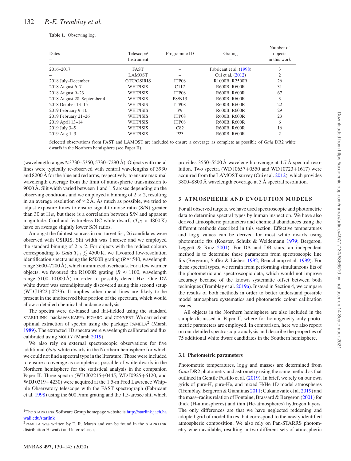| Dates                      | Telescope/<br>Instrument | Programme ID     | Grating                 | Number of<br>objects<br>in this work |
|----------------------------|--------------------------|------------------|-------------------------|--------------------------------------|
| 2016-2017                  | <b>FAST</b>              |                  | Fabricant et al. (1998) | 3                                    |
|                            | <b>LAMOST</b>            |                  | Cui et al. (2012)       | $\overline{2}$                       |
| 2018 July-December         | GTC/OSIRIS               | ITP08            | R1000B, R2500R          | 26                                   |
| 2018 August 6-7            | WHT/ISIS                 | C <sub>117</sub> | R600B, R600R            | 31                                   |
| 2018 August 9-23           | WHT/ISIS                 | ITP08            | R600B, R600R            | 67                                   |
| 2018 August 28–September 4 | WHT/ISIS                 | P8/N13           | R600B, R600R            | 3                                    |
| 2018 October 13–15         | WHT/ISIS                 | ITP08            | R600B, R600R            | 22                                   |
| $2019$ February $9-10$     | WHT/ISIS                 | P <sub>9</sub>   | R600B, R600R            | 29                                   |
| 2019 February 21-26        | WHT/ISIS                 | ITP08            | R600B, R600R            | 23                                   |
| 2019 April 13-14           | WHT/ISIS                 | ITP08            | R600B, R600R            | 6                                    |
| 2019 July 3-5              | WHT/ISIS                 | C82              | R600B, R600R            | 16                                   |
| $2019$ Aug $1-3$           | WHT/ISIS                 | P <sub>2</sub> 3 | R600B, R600R            | $\overline{2}$                       |

Selected observations from FAST and LAMOST are included to ensure a coverage as complete as possible of *Gaia* DR2 white dwarfs in the Northern hemisphere (see Paper II).

(wavelength ranges  $\approx$ 3730–5350, 5730–7290 Å). Objects with metal lines were typically re-observed with central wavelengths of 3930 and 8200 Å for the blue and red arms, respectively, to ensure maximal wavelength coverage from the limit of atmospheric transmission to 9000 Å. Slit width varied between 1 and 1.5 arcsec depending on the observing conditions and we employed a binning of  $2 \times 2$ , resulting in an average resolution of  $\approx 2 \text{ Å}$ . As much as possible, we tried to adjust exposure times to ensure signal-to-noise ratio (S/N) greater than 30 at  $H\alpha$ , but there is a correlation between S/N and apparent magnitude. Cool and featureless DC white dwarfs ( $T_{\text{eff}}$  < 4800 K) have on average slightly lower S/N ratios.

Amongst the faintest sources in our target list, 26 candidates were observed with OSIRIS. Slit width was 1 arcsec and we employed the standard binning of  $2 \times 2$ . For objects with the reddest colours corresponding to *Gaia*  $T_{\text{eff}} \lesssim 4500 \text{ K}$ , we favoured low-resolution identification spectra using the R500B grating ( $R \approx 540$ , wavelength range 3600–7200 Å), which minimized overheads. For a few warmer objects, we favoured the R1000R grating ( $R \approx 1100$ , wavelength range 5100–10 000 Å) in order to possibly detect H $\alpha$ . One DZ white dwarf was serendipitously discovered using this second setup (WD J1922+0233). It implies other metal lines are likely to be present in the unobserved blue portion of the spectrum, which would allow a detailed chemical abundance analysis.

The spectra were de-biased and flat-fielded using the standard STARKLINK<sup>1</sup> packages KAPPA, FIGARO, and CONVERT. We carried out optimal extraction of spectra using the package  $PAMELA<sup>2</sup>$  (Marsh 1989). The extracted 1D spectra were wavelength calibrated and flux calibrated using MOLLY (Marsh 2019).

We also rely on external spectroscopic observations for five additional *Gaia* white dwarfs in the Northern hemisphere for which we could not find a spectral type in the literature. Those were included to ensure a coverage as complete as possible of white dwarfs in the Northern hemisphere for the statistical analysis in the companion Paper II. Three spectra (WD J02215+0445, WD J0925+6120, and WDJ 0319+4230) were acquired at the 1.5-m Fred Lawrence Whipple Observatory telescope with the FAST spectrograph (Fabricant et al. 1998) using the 600 l/mm grating and the 1.5-arcsec slit, which

 $2$ PAMELA was written by T. R. Marsh and can be found in the STARKLINK distribution Hawaiki and later releases.

provides 3550–5500 Å wavelength coverage at 1.7 Å spectral resolution. Two spectra (WD J0657+0550 and WD J0723+1617) were acquired from the LAMOST survey (Cui et al. 2012), which provides 3800–8800 Å wavelength coverage at 3 Å spectral resolution.

## **3 ATMOSPHERE AND EVOLUTION MODELS**

For all observed targets, we have used spectroscopic and photometric data to determine spectral types by human inspection. We have also derived atmospheric parameters and chemical abundances using the different methods described in this section. Effective temperatures and  $\log g$  values can be derived for most white dwarfs using photometric fits (Koester, Schulz & Weidemann 1979; Bergeron, Leggett & Ruiz 2001). For DA and DB stars, an independent method is to determine these parameters from spectroscopic line fits (Bergeron, Saffer & Liebert 1992; Beauchamp et al. 1999). For these spectral types, we refrain from performing simultaneous fits of the photometric and spectroscopic data, which would not improve accuracy because of the known systematic offset between both techniques (Tremblay et al. 2019a). Instead in Section 4, we compare the results of both methods in order to better understand possible model atmosphere systematics and photometric colour calibration issues.

All objects in the Northern hemisphere are also included in the sample discussed in Paper II, where for homogeneity only photometric parameters are employed. In comparison, here we also report on our detailed spectroscopic analysis and describe the properties of 75 additional white dwarf candidates in the Southern hemisphere.

#### **3.1 Photometric parameters**

Photometric temperatures, log *g* and masses are determined from *Gaia* DR2 photometry and astrometry using the same method as that outlined in Gentile Fusillo et al. (2019). In brief, we rely on our own grids of pure-H, pure-He, and mixed H/He 1D model atmospheres (Tremblay, Bergeron & Gianninas 2011; Cukanovaite et al. 2019) and the mass–radius relation of Fontaine, Brassard  $\&$  Bergeron (2001) for thick (H-atmospheres) and thin (He-atmospheres) hydrogen layers. The only differences are that we have neglected reddening and adopted grid of model fluxes that correspond to the newly identified atmospheric composition. We also rely on Pan-STARRS photometry when available, resulting in two different sets of atmospheric

<sup>&</sup>lt;sup>1</sup>The STARKLINK [Software Group homepage website is](http://starlink.jach.hawaii.edu/starlink) http://starlink.jach.ha waii.edu/starlink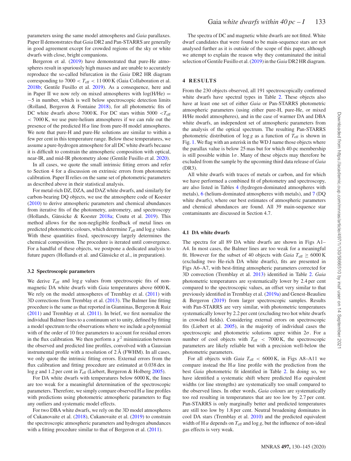parameters using the same model atmospheres and *Gaia* parallaxes. Paper II demonstrates that *Gaia* DR2 and Pan-STARRS are generally in good agreement except for crowded regions of the sky or white

dwarfs with close, bright companions. Bergeron et al. (2019) have demonstrated that pure-He atmospheres result in spuriously high masses and are unable to accurately reproduce the so-called bifurcation in the *Gaia* DR2 HR diagram corresponding to  $7000 < T_{\text{eff}} < 11\,000 \text{ K}$  (Gaia Collaboration et al. 2018b; Gentile Fusillo et al. 2019). As a consequence, here and in Paper II we now rely on mixed atmospheres with  $log(H/He)$  = −5 in number, which is well below spectroscopic detection limits (Rolland, Bergeron & Fontaine 2018), for all photometric fits of DC white dwarfs above 7000 K. For DC stars within 5000 *<T*eff *<* 7000 K, we use pure-helium atmospheres if we can rule out the presence of the predicted  $H \alpha$  line from pure-H model atmospheres. We note that pure-H and pure-He solutions are similar to within a few per cent in this temperature range. Below these temperatures, we assume a pure-hydrogen atmosphere for all DC white dwarfs because it is difficult to constrain the atmospheric composition with optical, near-IR, and mid-IR photometry alone (Gentile Fusillo et al. 2020).

In all cases, we quote the small intrinsic fitting errors and refer to Section 4 for a discussion on extrinsic errors from photometric calibration. Paper II relies on the same set of photometric parameters as described above in their statistical analysis.

For metal-rich DZ, DZA, and DAZ white dwarfs, and similarly for carbon-bearing DQ objects, we use the atmosphere code of Koester (2010) to derive atmospheric parameters and chemical abundances from iterative fits of the photometry, astrometry, and spectroscopy (Hollands, Gänsicke & Koester  $2018a$ ; Coutu et al.  $2019$ ). This method allows for the non-negligible feedback of metal lines on predicted photometric colours, which determine  $T_{\text{eff}}$  and log *g* values. With these quantities fixed, spectroscopy largely determines the chemical composition. The procedure is iterated until convergence. For a handful of these objects, we postpone a dedicated analysis to future papers (Hollands et al. and Gänsicke et al., in preparation).

#### **3.2 Spectroscopic parameters**

We derive  $T_{\text{eff}}$  and  $\log g$  values from spectroscopic fits of nonmagnetic DA white dwarfs with *Gaia* temperatures above 6000 K. We rely on the model atmospheres of Tremblay et al.  $(2011)$  with 3D corrections from Tremblay et al. (2013). The Balmer line fitting procedure is the same as that reported in Gianninas, Bergeron & Ruiz (2011) and Tremblay et al. (2011). In brief, we first normalize the individual Balmer lines to a continuum set to unity, defined by fitting a model spectrum to the observations where we include a polynomial with of the order of 10 free parameters to account for residual errors in the flux calibration. We then perform a  $\chi^2$  minimization between the observed and predicted line profiles, convolved with a Gaussian instrumental profile with a resolution of 2 Å (FWHM). In all cases, we only quote the intrinsic fitting errors. External errors from the flux calibration and fitting procedure are estimated at 0.038 dex in log *g* and 1.2 per cent in  $T_{\text{eff}}$  (Liebert, Bergeron & Holberg 2005).

For DA white dwarfs with temperatures below 6000 K, the lines are too weak for a meaningful determination of the spectroscopic parameters. Therefore, we simply compare observed  $H \alpha$  line profiles with predictions using photometric atmospheric parameters to flag any outliers and systematic model effects.

For two DBA white dwarfs, we rely on the 3D model atmospheres of Cukanovaite et al. (2018), Cukanovaite et al. (2019) to constrain the spectroscopic atmospheric parameters and hydrogen abundances with a fitting procedure similar to that of Bergeron et al. (2011).

The spectra of DC and magnetic white dwarfs are not fitted. White dwarf candidates that were found to be main-sequence stars are not analysed further as it is outside of the scope of this paper, although we attempt to explain the reason why they contaminated the initial selection of Gentile Fusillo et al. (2019) in the *Gaia* DR2 HR diagram.

#### **4 RESULTS**

From the 230 objects observed, all 191 spectroscopically confirmed white dwarfs have spectral types in Table 2. These objects also have at least one set of either *Gaia* or Pan-STARRS photometric atmospheric parameters (using either pure-H, pure-He, or mixed H/He model atmospheres), and in the case of warmer DA and DBA white dwarfs, an independent set of atmospheric parameters from the analysis of the optical spectrum. The resulting Pan-STARRS photometric distribution of  $\log g$  as a function of  $T_{\text{eff}}$  is shown in Fig. 1. We flag with an asterisk in the WD J name those objects where the parallax value is below 25 mas but for which 40-pc membership is still possible within  $1\sigma$ . Many of these objects may therefore be excluded from the sample by the upcoming third data release of *Gaia* (DR3).

All white dwarfs with traces of metals or carbon, and for which we have performed a combined fit of photometry and spectroscopy, are also listed in Tables 4 (hydrogen-dominated atmospheres with metals), 6 (helium-dominated atmospheres with metals), and 7 (DQ white dwarfs), where our best estimates of atmospheric parameters and chemical abundances are found. All 39 main-sequence star contaminants are discussed in Section 4.7.

#### **4.1 DA white dwarfs**

The spectra for all 89 DA white dwarfs are shown in Figs A1– A4. In most cases, the Balmer lines are too weak for a meaningful fit. However for the subset of 40 objects with *Gaia*  $T_{\text{eff}} \geq 6000 \text{ K}$ (excluding two He-rich DA white dwarfs), fits are presented in Figs A6–A7, with best-fitting atmospheric parameters corrected for 3D convection (Tremblay et al. 2013) identified in Table 2. *Gaia* photometric temperatures are systematically lower by 2.4 per cent compared to the spectroscopic values, an offset very similar to that previously identified in Tremblay et al. (2019a) and Genest-Beaulieu & Bergeron (2019) from larger spectroscopic samples. Results with Pan-STARRS are very similar, with photometric temperatures systematically lower by 2.2 per cent (excluding two hot white dwarfs in crowded fields). Considering external errors on spectroscopic fits (Liebert et al. 2005), in the majority of individual cases the spectroscopic and photometric solutions agree within 2*σ*. For a number of cool objects with  $T_{\text{eff}}$   $\langle$  7000 K, the spectroscopic parameters are likely reliable but with a precision well-below the photometric parameters.

For all objects with *Gaia T*eff *<* 6000 K, in Figs A8–A11 we compare instead the H $\alpha$  line profile with the prediction from the best *Gaia* photometric fit identified in Table 2. In doing so, we have identified a systematic shift where predicted  $H\alpha$  equivalent widths (or line strengths) are systematically too small compared to the observed lines. In other words, *Gaia* colours are systematically too red resulting in temperatures that are too low by 2.7 per cent. Pan-STARRS is only marginally better and predicted temperatures are still too low by 1.8 per cent. Neutral broadening dominates in cool DA stars (Tremblay et al. 2010) and the predicted equivalent width of H  $\alpha$  depends on  $T_{\text{eff}}$  and log g, but the influence of non-ideal gas effects is very weak.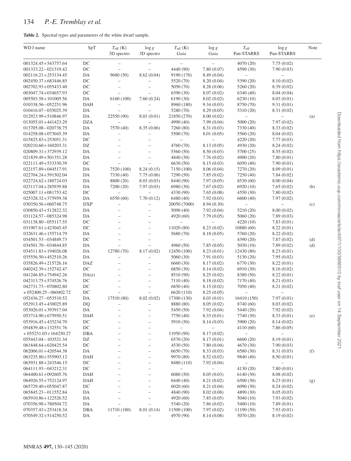## 134 *P.-E. Tremblay et al.*

|  |  |  | Table 2. Spectral types and parameters of the white dwarf sample. |  |  |  |  |
|--|--|--|-------------------------------------------------------------------|--|--|--|--|
|--|--|--|-------------------------------------------------------------------|--|--|--|--|

| WD J name                 | SpT        | $T_{\rm eff}$ (K)<br>3D spectro | $\log g$<br>3D spectro   | $T_{\rm eff}$ (K)<br>Gaia | $\log g$<br>Gaia         | $T_{\rm eff}$<br>Pan-STARRS | $\log g$<br>Pan-STARRS   | Note |
|---------------------------|------------|---------------------------------|--------------------------|---------------------------|--------------------------|-----------------------------|--------------------------|------|
| 001324.45+543757.64       | DC         | $\overline{\phantom{0}}$        |                          | $\overline{\phantom{0}}$  | $\qquad \qquad -$        | 4070 (20)                   | 7.75(0.02)               |      |
| 001333.22-021319.42       | $DC$       |                                 | $\overline{\phantom{0}}$ | 4440 (90)                 | 7.80(0.07)               | 4590 (30)                   | 7.90(0.03)               |      |
| 002116.21+253134.45       | DA         | 9680 (50)                       | 8.62(0.04)               | 9190 (170)                | 8.49 (0.04)              | $-$                         | $\overline{\phantom{0}}$ |      |
| 002450.37+683446.85       | DC         | $\overline{\phantom{0}}$        | $\qquad \qquad -$        | 5520 (70)                 | 8.20(0.04)               | 5390 (20)                   | 8.10 (0.02)              |      |
| 002702.93+055433.40       | DC         |                                 |                          | 5050 (70)                 | 8.28(0.06)               | 5260 (20)                   | 8.39 (0.02)              |      |
| 003047.74+034657.93       | $\rm DC$   |                                 |                          | 6390 (30)                 | 8.07(0.02)               | 6340 (40)                   | 8.04(0.04)               |      |
| 005503.58+101005.56       | DA         | 6160 (100)                      | 7.60(0.24)               | 6190 (30)                 | 8.02(0.02)               | 6230(10)                    | 8.03(0.01)               |      |
| 010338.56-052251.96       | DAH        |                                 |                          | 8960 (180)                | 9.34(0.03)               | 8750 (70)                   | 9.31(0.01)               |      |
| 010416.07-035025.39       | DA         |                                 |                          | 5280 (70)                 | 8.29(0.05)               | 5310 (20)                   | 8.31 (0.02)              |      |
| 012923.99+510846.97       | DA         | 22550 (90)                      | 8.01(0.01)               | 21850 (270)               | 8.00(0.02)               | $\overline{\phantom{0}}$    | $\overline{\phantom{0}}$ | (a)  |
| 013055.01+441423.29       | <b>DZA</b> |                                 |                          | 4990 (40)                 | 7.99(0.04)               | 5000 (20)                   | 7.97(0.02)               |      |
| 013705.08-020738.75       | DA         | 7570 (40)                       | 8.35(0.06)               | 7260 (80)                 | 8.31 (0.03)              | 7330 (40)                   | 8.33(0.02)               |      |
| 014258.08+073045.39       | DA         | $\overline{\phantom{0}}$        | $\overline{\phantom{0}}$ | 5500 (70)                 | 8.01(0.05)               | 5560 (20)                   | 8.04(0.02)               |      |
| 015825.83+253051.31       | $DC$       | $\overline{a}$                  | $\overline{\phantom{a}}$ |                           |                          | 4220 (20)                   | 7.77(0.03)               |      |
| $020210.60 + 160203.31$   | DZ         |                                 |                          | 4760 (70)                 | 8.13(0.05)               | 4930 (20)                   | 8.24(0.02)               |      |
| 020809.31+372939.12       | DA         | $\overline{a}$                  | $\overline{\phantom{0}}$ | 5560 (50)                 | 8.50(0.03)               | 5700 (25)                   | 8.55(0.02)               |      |
| 021839.49+501351.28       | DA         | $\overline{\phantom{0}}$        | $\overline{\phantom{a}}$ | 4840 (30)                 | 7.76(0.02)               | 4900 (20)                   | 7.80(0.01)               |      |
| 022111.49+533330.39       | $DC$       | $\overline{\phantom{0}}$        | $\overline{\phantom{0}}$ | 6630 (50)                 | 8.15(0.03)               | 6050(40)                    | 7.90(0.01)               |      |
| 022157.89+044517.91       | DA         | 7520 (100)                      | 8.24(0.15)               | 7150 (100)                | 8.06(0.04)               | 7270 (20)                   | 8.09(0.01)               |      |
| 022704.24+591502.04       | DA         | 7330 (40)                       | 7.75(0.06)               | 7290 (50)                 | 7.85(0.02)               | 7250 (40)                   | 7.84(0.02)               |      |
| 022724.62+180724.03       | DA         | 8800 (20)                       | 8.03(0.03)               | 8440 (90)                 | 7.97(0.05)               | 8530 (60)                   | 8.00(0.04)               |      |
| 023117.04+285939.88       | DA         | 7200 (20)                       | 7.97(0.03)               | 6980 (30)                 | 7.67(0.02)               | 6920(10)                    | 7.65(0.02)               | (b)  |
| $025007.11 + 081753.42$   | $\rm DC$   | $\qquad \qquad -$               | $\overline{\phantom{0}}$ | 4330 (90)                 | 7.65(0.08)               | 4550 (30)                   | 7.80(0.02)               |      |
| 025328.32+375959.38       | DA         | 6550 (60)                       | 7.70(0.12)               | 6480 (40)                 | 7.92(0.03)               | 6600 (40)                   | 7.97(0.02)               |      |
| 030350.56+060748.75       | <b>DXP</b> | $\overline{a}$                  | $\overline{\phantom{a}}$ | 20050 (7000)              | 8.94(0.30)               |                             |                          | (c)  |
| 030850.43+512822.32       | DA         |                                 |                          | 5090 (40)                 | 7.92(0.04)               | 5210 (20)                   | 8.00(0.02)               |      |
| 031124.57-085324.98       | DA         |                                 | $\overline{\phantom{0}}$ | 4920 (60)                 | 7.79(0.05)               | 5060 (20)                   | 7.89(0.03)               |      |
| 031138.80 - 055117.55     | $DC$       | $\overline{\phantom{0}}$        | $\overline{\phantom{0}}$ |                           | $\overline{\phantom{0}}$ | 4220(10)                    | 7.83(0.01)               |      |
| 031907.61+423045.45       | DC         |                                 | $\overline{\phantom{0}}$ | 11020 (80)                | 8.23(0.02)               | 10880 (60)                  | 8.22(0.01)               |      |
| 032631.46+155714.79       | DA         |                                 | $\overline{\phantom{0}}$ | 5680 (70)                 | 8.18(0.05)               | 5760 (20)                   | 8.22(0.02)               |      |
| 034501.53-034849.73       | $DC$       | $\overline{\phantom{0}}$        | $\overline{\phantom{0}}$ |                           |                          | 4390 (20)                   | 7.87(0.02)               | (d)  |
| 034501.70-034844.85       | DA         | $\overline{\phantom{0}}$        |                          | 4960 (50)                 | 7.85(0.05)               | 5030 (10)                   | 7.89(0.02)               | (d)  |
| 034511.83+194026.08       | DA         | 12780 (70)                      | 8.17(0.02)               | 12450 (100)               | 8.23(0.01)               | 12430 (80)                  | 8.23(0.01)               |      |
| 035556.50+452510.26       | DA         | $\overline{\phantom{0}}$        | $\overline{\phantom{0}}$ | 5060 (30)                 | 7.91(0.03)               | 5130 (20)                   | 7.95(0.02)               |      |
| 035826.49+215726.16       | DAZ        |                                 |                          | 6660 (30)                 | 8.17(0.02)               | 6770 (30)                   | 8.22(0.01)               |      |
| 040242.39+152742.47       | DC         | $\overline{\phantom{0}}$        | $\overline{\phantom{0}}$ | 6850 (30)                 | 8.14(0.02)               | 6910 (30)                   | 8.16(0.02)               |      |
| 041246.85+754942.26       | DA(e)      | $\overline{\phantom{0}}$        | $\overline{\phantom{0}}$ | 8510 (90)                 | 8.25(0.02)               | 8380 (50)                   | 8.22(0.01)               |      |
| 042313.75+574526.76       | $DC$       |                                 | $\overline{\phantom{0}}$ | 7110 (40)                 | 8.18(0.02)               | 7170 (40)                   | 8.21(0.01)               |      |
| 042731.73-070802.80       | DC         | $\overline{\phantom{0}}$        | $\overline{a}$           | 6850 (40)                 | 8.15(0.02)               | 7050 (40)                   | 8.21 (0.02)              |      |
| $*052400.25 - 060402.72$  | $DC$       |                                 |                          | 6620 (110)                | 8.25(0.05)               |                             |                          |      |
| 052436.27-053510.52       | DA         | 17510 (80)                      | 8.02(0.02)               | 17300 (130)               | 8.03 (0.01)              | 16410 (150)                 | 7.97(0.01)               |      |
| 052913.45+430025.89       | DQ         | $\overline{\phantom{0}}$        | $\qquad \qquad -$        | 8880 (80)                 | 8.05(0.02)               | 8740 (60)                   | 8.03(0.02)               |      |
| 053026.01+393917.04       | DA         |                                 | -                        | 5450 (50)                 | 7.92 (0.04)              | 5440 (20)                   | 7.92(0.02)               |      |
| 053714.90+675950.51       | DAH        |                                 | $\overline{\phantom{0}}$ | 7750 (40)                 | 8.33(0.01)               | 7740 (30)                   | 8.33(0.01)               | (e)  |
| 053916.45+435234.70       | DC         | $\overline{\phantom{0}}$        | —                        | 5910 (50)                 | 8.14(0.03)               | 5900 (20)                   | 8.14(0.02)               |      |
| 054839.48+132551.76       | $DC$       | -                               | $\qquad \qquad -$        |                           |                          | 4110 (60)                   | 7.86(0.05)               |      |
| $* 055231.03 + 164250.27$ | <b>DBA</b> | $\overline{\phantom{0}}$        | $\qquad \qquad -$        | 11950 (90)                | 8.17(0.02)               | $\overline{\phantom{0}}$    | $\overline{\phantom{0}}$ |      |
| 055443.04-103521.34       | DZ         | $\overline{\phantom{0}}$        | $\qquad \qquad -$        | 6570 (20)                 | 8.17(0.01)               | 6600 (20)                   | 8.19 (0.01)              |      |
| 061848.64+620425.54       | $DC$       | $\qquad \qquad -$               | $\overline{\phantom{0}}$ | 4530 (50)                 | 7.80(0.04)               | 4670 (30)                   | 7.90(0.03)               |      |
| 062006.01+420544.38       | DA         | $\overline{\phantom{0}}$        | $\overline{\phantom{0}}$ | 6650 (70)                 | 8.33(0.03)               | 6580 (30)                   | 8.31 (0.03)              | (f)  |
| 063235.80+555903.12       | DAH        | $\overline{\phantom{0}}$        | $\qquad \qquad -$        | 9970 (80)                 | 8.52(0.02)               | 9840 (40)                   | 8.50(0.01)               |      |
| 063931.88+243546.15       | $DC$       | -                               | $\qquad \qquad -$        | 8480 (110)                | 7.92(0.04)               |                             |                          |      |
| 064111.93-043212.31       | $\rm DC$   | $\overline{\phantom{0}}$        | $\overline{\phantom{0}}$ | $\overline{\phantom{0}}$  | $\qquad \qquad -$        | 4130 (20)                   | 7.80(0.01)               |      |
| 064400.61+092605.76       | <b>DAH</b> | $\overline{\phantom{0}}$        | $\overline{\phantom{0}}$ | 6080(50)                  | 8.05(0.03)               | 6140 (30)                   | 8.08(0.02)               |      |
| 064926.55+752124.97       | DAH        | $\qquad \qquad -$               | $\overline{\phantom{0}}$ | 6440 (40)                 | 8.21 (0.02)              | 6500 (30)                   | 8.23(0.01)               | (g)  |
| 065729.40+055047.87       | $\rm DC$   | $\overline{\phantom{0}}$        | $\overline{\phantom{0}}$ | 6020(60)                  | 8.21 (0.04)              | 6090 (30)                   | 8.24(0.02)               |      |
| 065845.23-011552.84       | DA         | $\overline{\phantom{0}}$        | $\overline{\phantom{0}}$ | 4840 (90)                 | 8.02(0.08)               | 4890 (30)                   | 8.05(0.03)               |      |
| 065910.86+122526.52       | DA         | $\overline{\phantom{0}}$        | $\overline{\phantom{0}}$ | 4920 (60)                 | 7.85(0.05)               | 5040 (10)                   | 7.93(0.02)               |      |
| 070356.98+780504.72       | DA         | $\overline{\phantom{0}}$        | $\overline{\phantom{0}}$ | 5340 (20)                 | 7.86(0.02)               | 5400 (10)                   | 7.89(0.01)               |      |
| 070357.43+253418.34       | DBA        | 11710 (180)                     | 8.01(0.14)               | 11500 (100)               | 7.97(0.02)               | 11190 (50)                  | 7.93(0.01)               |      |
| 070549.32+514250.52       | DA         | -                               | $\qquad \qquad -$        | 4970 (90)                 | 8.14(0.08)               | 5070 (20)                   | 8.19(0.02)               |      |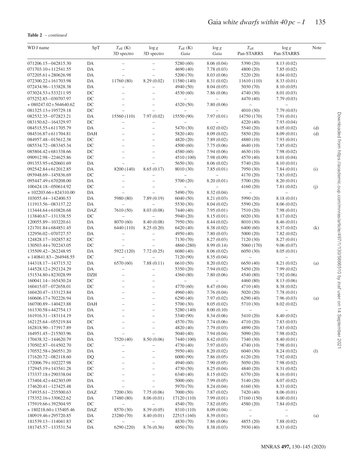**Table 2** – *continued*

| WD J name                                  | SpT              | $T_{\rm eff}$ (K)<br>3D spectro                      | $\log g$<br>3D spectro                     | $T_{\rm eff}$ (K)<br>Gaia | $\log g$<br>Gaia         | $T_{\rm eff}$<br>Pan-STARRS | $\log g$<br>Pan-STARRS   | Note |
|--------------------------------------------|------------------|------------------------------------------------------|--------------------------------------------|---------------------------|--------------------------|-----------------------------|--------------------------|------|
| 071206.15-042815.30                        | DA               |                                                      |                                            | 5280 (60)                 | 8.06(0.04)               | 5390 (20)                   | 8.13(0.02)               |      |
| 071703.10+112541.55                        | DA               | -                                                    | $\overline{\phantom{0}}$                   | 4690(40)                  | 7.78(0.03)               | 4800 (20)                   | 7.85(0.02)               |      |
| 072205.61+280626.98                        | DA               | $\overline{\phantom{0}}$                             | $\overline{\phantom{0}}$                   | 5200 (70)                 | 8.03(0.06)               | 5220 (20)                   | 8.04(0.02)               |      |
| 072300.22+161703.98                        | DA               | 11760 (80)                                           | 8.29(0.02)                                 | 11580 (140)               | 8.31 (0.02)              | 11610 (110)                 | 8.33(0.01)               |      |
| 072434.96-133828.38                        | DA               |                                                      | $\overline{\phantom{0}}$                   | 4940 (50)                 | 8.04(0.05)               | 5030 (70)                   | 8.10(0.05)               |      |
| 073024.53+533211.95                        | DC               | $\overline{\phantom{0}}$                             | $\overline{\phantom{0}}$                   | 4530 (60)                 | 7.86(0.06)               | 4740 (30)                   | 8.01 (0.03)              |      |
| 075252.85-030707.97                        | $DC$             |                                                      |                                            |                           |                          | 4470 (40)                   | 7.79(0.03)               |      |
| $*080247.02 + 564640.62$                   | DC               | $\overline{\phantom{0}}$                             | $\overline{a}$                             | 4320 (50)                 | 7.80(0.06)               | $\overline{\phantom{0}}$    |                          |      |
| 081325.13+195729.18                        | DC               |                                                      |                                            |                           |                          | 4010 (30)                   | 7.79(0.03)               |      |
| 082532.35-072823.21                        | DA               | 15560 (110)                                          | 7.97(0.02)                                 | 15550 (90)                | 7.97(0.01)               | 14750 (170)                 | 7.91(0.01)               |      |
| 083150.62-164329.97                        | $DC$             | $\overline{\phantom{0}}$                             | -                                          |                           |                          | 4220 (40)                   | 7.93(0.04)               |      |
| 084515.55+611705.79                        | DA               | $\overline{\phantom{0}}$                             | $\overline{\phantom{0}}$                   | 5470 (30)                 | 8.02(0.02)               | 5540 (20)                   | 8.05(0.02)               | (d)  |
| 084516.87+611704.81                        | <b>DAH</b>       |                                                      | $\overline{\phantom{0}}$                   | 5820 (40)                 | 8.09(0.02)               | 5850 (20)                   | 8.09(0.01)               | (d)  |
| 084957.48-015612.38                        | DC               | $\overline{\phantom{0}}$                             | $\overline{\phantom{0}}$                   | 4820 (20)                 | 7.89(0.02)               | 4880 (10)                   | 7.93(0.01)               |      |
| 085534.72-083345.34                        | DC               | $\overline{\phantom{0}}$                             | $\overline{\phantom{0}}$                   | 4500(60)                  | 7.75(0.06)               | 4640 (10)                   | 7.85(0.02)               |      |
| 085804.42+681338.66                        | DC               |                                                      | $\overline{\phantom{0}}$                   | 4580 (60)                 | 7.94(0.06)               | 4630(10)                    | 7.98(0.02)               |      |
| 090912.98-224625.86                        | DC               | $\equiv$                                             | $\overline{a}$                             | 4510 (100)                | 7.98(0.09)               | 4570 (40)                   | 8.01 (0.04)              |      |
| 091353.95+620601.69                        | DA               |                                                      |                                            | 5650 (30)                 | 8.06(0.02)               | 5740 (20)                   | 8.10(0.01)               |      |
| 092542.84+612012.85                        | DA<br>DC         | 8200 (140)<br>$\overline{\phantom{0}}$               | 8.65(0.17)                                 | 8010 (30)                 | 7.85(0.01)               | 7950 (30)                   | 7.84(0.01)<br>7.83(0.02) | (i)  |
| 093948.69-145836.69<br>095447.49+670208.00 | DA               |                                                      |                                            | 5700 (20)                 | 8.20(0.01)               | 4170 (20)<br>5700 (20)      | 8.20(0.01)               |      |
| 100424.18-050614.92                        | DC               |                                                      |                                            |                           |                          | 4160 (20)                   | 7.81(0.02)               |      |
| $*102203.66 + 824310.00$                   | DA               |                                                      |                                            | 5490 (70)                 | 8.32(0.04)               | $\overline{\phantom{0}}$    |                          | (j)  |
| 103055.44-142400.53                        | DA               | 5980 (80)                                            | 7.89(0.19)                                 | 6040(50)                  | 8.21(0.03)               | 5990 (20)                   | 8.18(0.01)               |      |
| 111913.56-083137.22                        | DA               | $\overline{\phantom{0}}$                             |                                            | 5530 (30)                 | 8.04(0.02)               | 5590 (20)                   | 8.06(0.02)               |      |
| 113444.64+610826.68                        | <b>DAZ</b>       | 7610 (50)                                            | 8.03 (0.08)                                | 7440 (40)                 | 7.95(0.01)               | 7510 (20)                   | 7.98(0.01)               |      |
| 113840.67 - 131338.55                      | $\rm DC$         |                                                      |                                            | 5940 (20)                 | 8.15(0.01)               | 6020 (30)                   | 8.17(0.02)               |      |
| 120055.89-103220.61                        | DA               | 8070 (60)                                            | 8.40(0.08)                                 | 7950 (50)                 | 8.44(0.02)               | 8010 (30)                   | 8.46(0.01)               |      |
| 121701.84+684851.45                        | DA               | 6440 (110)                                           | 8.25(0.20)                                 | 6420 (40)                 | 8.38(0.02)               | 6400(60)                    | 8.37(0.02)               | (k)  |
| 122956.02-070727.57                        | DA               | $\overline{\phantom{0}}$                             | $\overline{\phantom{0}}$                   | 4950 (40)                 | 7.80(0.03)               | 5000 (20)                   | 7.82(0.02)               |      |
| 124828.17-102857.82                        | DC               | $\overline{\phantom{0}}$                             | $\overline{\phantom{0}}$                   | 7130 (70)                 | 8.27(0.03)               | 7120 (30)                   | 8.27(0.01)               |      |
| 130503.44+702243.05                        | DC               |                                                      |                                            | 4860 (280)                | 8.99 (0.14)              | 5060 (170)                  | 9.06(0.07)               |      |
| 135509.42-262248.95                        | DA               | 5922 (120)                                           | 7.72(0.25)                                 | 6080(40)                  | 8.06(0.02)               | 6050 (30)                   | 8.05(0.01)               |      |
| $*140841.83 - 264948.55$                   | DC               | $\overline{\phantom{0}}$                             |                                            | 7120 (90)                 | 8.35(0.04)               | $\overline{\phantom{0}}$    | $\overline{\phantom{0}}$ |      |
| 144318.17-143715.32                        | DA               | 6570 (60)                                            | 7.88(0.11)                                 | 6610 (50)                 | 8.20(0.02)               | 6650(40)                    | 8.21 (0.02)              | (a)  |
| 144528.12+292124.29                        | DA               |                                                      |                                            | 5350 (20)                 | 7.94(0.02)               | 5450 (20)                   | 7.99(0.02)               |      |
| 151534.80+823028.99                        | <b>DZH</b>       |                                                      | $\overline{\phantom{0}}$                   | 4360 (80)                 | 7.80(0.06)               | 4540 (80)                   | 7.92(0.06)               |      |
| 160041.14-165430.24                        | DC               |                                                      | $\overline{a}$                             |                           |                          | 4460 (80)                   | 8.13 (0.06)              |      |
| 160415.07-072658.01                        | DC               | $\equiv$                                             | $\overline{\phantom{0}}$                   | 4770 (60)                 | 8.47(0.04)               | 4710 (40)                   | 8.38(0.02)               |      |
| 160420.47-133123.84                        | DA               | $\overline{\phantom{0}}$                             | $\overline{\phantom{0}}$                   | 4960 (40)                 | 7.76(0.04)               | 5020(20)                    | 7.78(0.01)               |      |
| 160606.17+702226.94                        | DA               | -                                                    | $\overline{\phantom{0}}$                   | 6290(40)                  | 7.97(0.02)               | 6290(40)                    | 7.96(0.03)               | (a)  |
| 160700.89-140423.88                        | <b>DAH</b>       | $\overline{\phantom{0}}$                             | $\overline{\phantom{0}}$                   | 5700 (30)                 | 8.05(0.02)               | 5710 (30)                   | 8.02(0.02)               |      |
| 161330.58+442754.13                        | DA               |                                                      | $\qquad \qquad -$                          | 5280 (140)                | 8.00(0.10)               | $\qquad \qquad -$           | $\overline{\phantom{0}}$ |      |
| 161916.31-183114.19                        | DA               |                                                      | $\overline{\phantom{0}}$                   | 5340 (90)                 | 8.34(0.06)               | 5410 (20)                   | 8.40(0.02)               |      |
| 162125.64-055219.84                        | $_{\mathrm{DC}}$ |                                                      | -                                          | 4570 (70)                 | 7.74(0.06)               | 4710 (20)                   | 7.83(0.03)               |      |
| 162818.90-173917.89                        | DA               | $\overline{\phantom{0}}$                             | $\overline{\phantom{0}}$                   | 4820 (40)                 | 7.79(0.03)               | 4890 (20)                   | 7.83(0.02)               |      |
| 164951.45-215503.96                        | DA               | $\overline{\phantom{0}}$                             | $\overline{\phantom{0}}$                   | 5040 (40)                 | 7.94(0.04)               | 5090 (20)                   | 7.98(0.02)               |      |
| 170438.32-144620.79                        | DA               | 7520 (40)                                            | 8.50(0.06)                                 | 7440 (100)                | 8.42(0.03)               | 7340 (30)                   | 8.40(0.01)               |      |
| 170502.87-014502.70                        | $_{\mathrm{DC}}$ | $\overline{\phantom{0}}$                             | $\overline{\phantom{0}}$                   | 4730 (40)                 | 7.97(0.03)               | 4740 (10)                   | 7.98(0.01)               |      |
| 170552.58+260551.20                        | DA               | -                                                    | $\qquad \qquad -$                          | 5950 (40)                 | 8.20(0.02)               | 6040(30)                    | 8.24(0.02)               | (1)  |
| 171620.72-082118.60                        | DQ               | $\overline{\phantom{0}}$                             | $\qquad \qquad -$                          | 6000(90)                  | 7.86(0.05)               | 6120 (20)                   | 7.92(0.02)               |      |
| 172006.79+102227.98                        | $_{\mathrm{DC}}$ | $\overline{\phantom{0}}$                             | $\overline{\phantom{0}}$                   | 4940 (60)                 | 7.90(0.05)               | 5050 (20)                   | 7.98(0.02)               |      |
| 172945.19+143541.28                        | DC               | $\overline{\phantom{0}}$                             | $\overline{\phantom{0}}$                   | 4730 (50)                 | 8.25(0.04)               | 4840 (20)                   | 8.31 (0.02)              |      |
| 173337.18+290338.04                        | $_{\mathrm{DC}}$ | $\overline{\phantom{0}}$                             | $\overline{\phantom{0}}$                   | 6340 (40)                 | 8.15(0.02)               | 6370 (20)                   | 8.16(0.01)               |      |
| 173404.42+442303.09                        | DA               | $\overline{\phantom{0}}$<br>$\overline{\phantom{0}}$ | $\overline{\phantom{0}}$<br>$\overline{a}$ | 5000(60)                  | 7.99(0.05)               | 5140 (20)                   | 8.07(0.02)               |      |
| 174620.41-123425.48                        | DA               |                                                      |                                            | 5970 (70)                 | 8.24(0.04)               | 6160(30)                    | 8.33(0.02)               |      |
| 174935.61-235500.63<br>175352.16+330622.62 | DAZ<br>DA        | 7200 (30)<br>17480 (80)                              | 7.75(0.06)<br>8.06(0.01)                   | 7000(50)                  | 7.87(0.02)<br>7.99(0.01) | 7420 (40)<br>17160 (150)    | 8.06(0.01)<br>8.00(0.01) |      |
| 175919.66+392504.95                        | DC               |                                                      |                                            | 17120 (110)<br>4540 (70)  | 7.82(0.05)               | 4580 (20)                   | 7.84(0.02)               |      |
| $*180218.60+135405.46$                     | DAZ              | 8570 (30)                                            | 8.39(0.05)                                 | 8310 (110)                | 8.09(0.04)               | $\qquad \qquad -$           | -                        |      |
| 180919.46+295720.85                        | DA               | 23280 (70)                                           | 8.40(0.01)                                 | 22515 (160)               | 8.39(0.01)               | $\qquad \qquad -$           | $\overline{\phantom{0}}$ | (a)  |
| 181539.13-114041.83                        | DC               |                                                      |                                            | 4830 (70)                 | 7.86(0.06)               | 4855 (20)                   | 7.88(0.02)               |      |
| 181745.57-133531.54                        | DA               | 6290 (220)                                           | 8.76(0.36)                                 | 6050 (70)                 | 8.38(0.03)               | 5930 (40)                   | 8.33(0.02)               |      |
|                                            |                  |                                                      |                                            |                           |                          |                             |                          |      |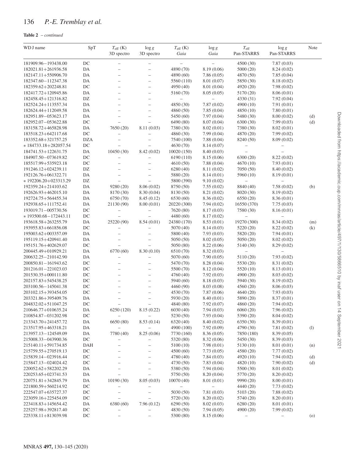## **Table 2** – *continued*

| WD J name                                  | SpT                    | $T_{\rm eff}$ (K)                      | $\log g$                                   | $T_{\rm eff}$ (K)        | $\log g$                 | $T_{\rm eff}$            | $\log g$                 | Note |
|--------------------------------------------|------------------------|----------------------------------------|--------------------------------------------|--------------------------|--------------------------|--------------------------|--------------------------|------|
|                                            |                        | 3D spectro                             | 3D spectro                                 | Gaia                     | Gaia                     | Pan-STARRS               | Pan-STARRS               |      |
| 181909.96-193438.00                        | $\rm DC$               | -                                      | $\qquad \qquad -$                          | $\overline{\phantom{0}}$ | $\qquad \qquad -$        | 4500 (30)                | 7.87(0.03)               |      |
| 182021.81+261936.58                        | DA                     |                                        |                                            | 4890 (70)                | 8.19(0.06)               | 5000(20)                 | 8.24(0.02)               |      |
| 182147.11+550906.70                        | DA                     | $\overline{\phantom{0}}$               | $\overline{\phantom{0}}$                   | 4890 (60)                | 7.86(0.05)               | 4870 (50)                | 7.85(0.04)               |      |
| 182347.60 - 112347.38                      | DA                     | $\overline{\phantom{0}}$               | $\overline{\phantom{0}}$                   | 5560 (110)               | 8.01 (0.07)              | 5850 (30)                | 8.18(0.02)               |      |
| 182359.62+202248.81                        | DC                     | $\overline{\phantom{0}}$               | $\overline{a}$                             | 4950 (40)                | 8.01 (0.04)              | 4920 (20)                | 7.98(0.02)               |      |
| 182417.72+120945.86                        | DA                     | $\overline{\phantom{0}}$               | $\overline{\phantom{0}}$                   | 5160 (70)                | 8.05(0.05)               | 5170 (20)                | 8.06(0.01)               |      |
| 182458.45+121316.82                        | $\mathbf{D}\mathbf{Z}$ | $\overline{\phantom{0}}$               | -                                          | $\overline{\phantom{a}}$ | $\overline{\phantom{0}}$ | 4330 (31)                | 7.92(0.04)               |      |
| 182524.24+113557.34                        | DA                     | $\overline{\phantom{0}}$               | $\overline{\phantom{0}}$                   | 4850 (30)                | 7.87(0.02)               | 4900 (10)                | 7.91(0.01)               |      |
| 182624.44+112049.58                        | DA                     | $\overline{\phantom{0}}$               | $\overline{\phantom{0}}$                   | 4860 (50)                | 7.85(0.04)               | 4850 (10)                | 7.80(0.01)               |      |
| 182951.89-053623.17                        | DA                     | $\overline{\phantom{0}}$               | $\overline{\phantom{0}}$                   | 5450 (60)                | 7.97(0.04)               | 5480 (30)                | 8.00(0.02)               | (d)  |
| 182952.07-053622.88                        | DC                     | $\overline{\phantom{0}}$               | $\overline{\phantom{0}}$                   | 6490 (80)                | 8.07(0.04)               | 6300 (30)                | 7.99(0.03)               | (d)  |
| 183158.72+465828.98                        | DA                     | 7650 (20)                              | 8.11(0.03)                                 | 7380 (30)                | 8.02(0.01)               | 7380 (30)                | 8.02(0.01)               |      |
| 183518.23+642117.68                        | $DC$                   | $\overline{\phantom{0}}$               |                                            | 4860 (30)                | 7.99(0.04)               | 4870 (20)                | 7.99(0.02)               |      |
| 183352.68+321757.25                        | <b>DZA</b>             | $\overline{\phantom{a}}$               |                                            | 7540 (100)               | 7.88(0.04)               | 8240 (50)                | 8.09(0.02)               |      |
| * 184733.18+282057.54                      | DC                     | $\overline{\phantom{0}}$               |                                            | 4630 (70)                | 8.14(0.07)               | $\qquad \qquad -$        |                          |      |
| 184741.53+122631.75                        | DA                     | 10450(30)                              | 8.42(0.02)                                 | 10020 (150)              | 8.40 (0.03)              | $\overline{\phantom{0}}$ |                          |      |
| 184907.50-073619.82                        | DC                     | $\overline{\phantom{0}}$               | $\overline{\phantom{0}}$                   | 6190 (110)               | 8.15(0.06)               | 6300(20)                 | 8.22(0.02)               |      |
| 185517.99+535923.18                        | DC                     |                                        | $\overline{\phantom{0}}$                   | 4610 (50)                | 7.88(0.04)               | 4670(10)                 | 7.93(0.01)               |      |
| 191246.12+024239.11                        | DZ                     |                                        |                                            | 6280(40)                 | 8.11 (0.02)              | 7050 (50)                | 8.40(0.02)               |      |
| 192126.76+061322.71                        | DA                     | $\overline{\phantom{0}}$               | $\overline{a}$                             | 5880 (20)                | 8.14(0.01)               | 5960 (10)                | 8.19(0.01)               |      |
| * 192206.20+023313.29                      | $\mathbf{D}\mathbf{Z}$ | $\overline{\phantom{0}}$               | -                                          | 5800 (390)               | 9.10(0.02)               |                          |                          |      |
| 192359.24+214103.62                        | DA                     | 9280(20)                               | 8.06(0.02)                                 | 8750 (50)                | 7.55(0.02)               | 8840 (40)                | 7.58(0.02)               | (b)  |
| 192626.93+462015.10                        | DA                     | 8170 (30)                              | 8.30(0.04)                                 | 8130 (50)                | 8.21 (0.02)              | 8020 (30)                | 8.19(0.02)               |      |
| 192724.75+564455.34                        | DA                     | 6750 (70)                              | 8.45(0.12)                                 | 6530 (60)                | 8.36(0.02)               | 6550(20)                 | 8.36(0.01)               |      |
| 192938.65+111752.41                        | DA                     | 21130 (90)                             | 8.00(0.01)                                 | 20220 (300)              | 7.94(0.02)               | 16550 (370)              | 7.75(0.03)               |      |
| 193019.71-005730.56                        | DC                     | $\qquad \qquad -$                      | $\overline{\phantom{0}}$                   | 7620 (80)                | 8.17(0.03)               | 7580 (30)                | 8.16(0.01)               |      |
| *193500.68-172443.11                       | DC                     |                                        |                                            | 4480 (60)                | 8.17(0.02)               | $\overline{\phantom{0}}$ |                          |      |
| 193618.58+263255.79                        | DA                     | 25220 (90)                             | 8.54(0.01)                                 | 24380 (170)              | 8.53(0.01)               | 19270 (300)              | 8.34(0.02)               | (m)  |
| 193955.83+661856.08                        | DC                     | $\overline{\phantom{0}}$               | $\overline{\phantom{0}}$                   | 5070 (40)                | 8.14(0.03)               | 5220 (20)                | 8.22(0.02)               | (k)  |
| 195003.62+003357.09                        | DA                     | $\overline{\phantom{0}}$               | $\overline{\phantom{0}}$                   | 5800 (40)                | 7.93(0.03)               | 5820 (20)                | 7.94(0.01)               |      |
| 195119.15+420941.40                        | DA                     | $\overline{\phantom{0}}$               |                                            | 5050 (50)                | 8.02(0.05)               | 5050(20)                 | 8.02(0.02)               |      |
| 195151.76+402629.07                        | DC                     | $\qquad \qquad -$                      | $\overline{\phantom{0}}$                   | 5050 (80)                | 8.22(0.06)               | 5140 (30)                | 8.29(0.02)               |      |
| 200445.49+010929.21                        | DA                     | 6770 (60)                              | 8.30(0.10)                                 | 6510 (70)                | 8.32(0.03)               |                          |                          |      |
| 200632.25-210142.90                        | DA                     | $\overline{\phantom{0}}$               | $\overline{\phantom{0}}$                   | 5070 (60)                | 7.90(0.05)               | 5110 (20)                | 7.93(0.02)               |      |
| 200850.81-161943.62                        | DC                     | $\overline{\phantom{0}}$               | $\overline{\phantom{0}}$                   | 5470 (70)                | 8.28(0.04)               | 5530 (20)                | 8.31 (0.02)              |      |
| 201216.01-221023.03                        | DC                     |                                        | $\overline{\phantom{0}}$                   | 5500 (70)                | 8.12(0.04)               | 5520 (10)                | 8.13(0.01)               |      |
| 201530.35+000111.80                        | DC                     | $\overline{\phantom{0}}$               | $\overline{\phantom{0}}$                   | 4760 (40)                | 7.92(0.03)               | 4900 (20)                | 8.03(0.02)               |      |
| 202157.83+545438.25                        | DC                     | $\overline{\phantom{0}}$               | $\qquad \qquad -$                          | 5940 (60)                | 8.18(0.03)               | 5940 (30)                | 8.19(0.02)               |      |
| 203100.56-145041.38                        | DC                     | $\overline{\phantom{0}}$               | $\overline{\phantom{0}}$                   | 4460 (90)                | 8.03(0.08)               | 4560 (20)                | 8.06(0.03)               |      |
| 203102.15+393454.05                        | DC                     | $\overline{\phantom{0}}$               | $\overline{a}$<br>$\overline{\phantom{0}}$ | 4530 (70)                | 7.87(0.06)               | 4640(20)                 | 7.93(0.03)               |      |
| 203321.86+395409.76                        | DA<br>DC               | $\overline{\phantom{0}}$               |                                            | 5930 (20)                | 8.40(0.01)<br>7.92(0.07) | 5890 (20)                | 8.37(0.01)               |      |
| 204832.02+511047.25<br>210646.77+010635.24 | DA                     | $\overline{\phantom{0}}$<br>6250 (120) | $\overline{\phantom{0}}$<br>8.15(0.22)     | 4840 (80)<br>6030 (40)   | 7.94(0.03)               | 4860 (20)<br>6060(20)    | 7.94(0.02)<br>7.96(0.02) |      |
| 210854.87-031202.98                        | DC                     |                                        |                                            | 5230 (50)                | 7.93(0.04)               | 5390 (20)                | 8.04(0.02)               |      |
| 213343.70+241457.72                        | DA                     | 6650 (80)                              | 8.53(0.14)                                 | 6320 (40)                | 8.40 (0.02)              | 6350 (30)                | 8.39(0.01)               |      |
| 213517.95+463318.21                        | DA                     | $\qquad \qquad -$                      |                                            | 4900 (100)               | 7.92(0.09)               | 4790 (30)                | 7.81(0.02)               | (1)  |
| 213957.13-124549.09                        | DA                     | 7780 (40)                              | 8.25(0.06)                                 | 7730 (160)               | 8.36(0.05)               | 7850 (180)               | 8.39(0.05)               |      |
| 215008.33-043900.36                        | $_{\mathrm{DC}}$       |                                        |                                            | 5320 (80)                | 8.32(0.06)               | 5450 (30)                | 8.39(0.03)               |      |
| 215140.11+591734.85                        | DAH                    | $\overline{\phantom{0}}$               | -                                          | 5100 (10)                | 7.98(0.01)               | 5130 (10)                | 8.01(0.01)               | (n)  |
| 215759.55+270519.13                        | DC                     | $\overline{\phantom{0}}$               | $\overline{\phantom{0}}$                   | 4500 (60)                | 7.73(0.05)               | 4580 (20)                | 7.77(0.02)               |      |
| 215839.14-023916.44                        | $\rm DC$               | $\overline{\phantom{0}}$               | -                                          | 4780 (40)                | 7.84(0.03)               | 4920 (10)                | 7.94(0.02)               | (d)  |
| 215847.13-024024.42                        | $\rm DC$               | $\overline{\phantom{0}}$               | $\overline{\phantom{0}}$                   | 4730 (50)                | 7.83(0.04)               | 4820 (10)                | 7.90(0.02)               | (d)  |
| 220052.62+582202.29                        | DA                     | -                                      | $\overline{\phantom{0}}$                   | 5380 (50)                | 7.94(0.04)               | 5500 (30)                | 8.01(0.02)               |      |
| 220253.65+023741.53                        | DA                     |                                        | $\overline{\phantom{0}}$                   | 5750 (50)                | 8.20 (0.04)              | 5770 (20)                | 8.20(0.02)               |      |
| 220751.81+342845.79                        | DA                     | 10190 (30)                             | 8.05(0.03)                                 | 10070(40)                | 8.01 (0.01)              | 9990 (20)                | 8.00(0.01)               |      |
| 221800.59+560214.92                        | DC                     | $\overline{\phantom{0}}$               |                                            |                          |                          | 4440 (20)                | 7.73(0.02)               |      |
| 222547.07+635727.37                        | $\rm DC$               | $\overline{\phantom{0}}$               | -                                          | 5030 (50)                | 7.81(0.03)               | 5103 (20)                | 7.88(0.02)               |      |
| 223059.16+225454.09                        | DC                     | $\overline{\phantom{0}}$               |                                            | 5720 (30)                | 8.20(0.02)               | 5740 (20)                | 8.20(0.01)               |      |
| 223418.83+145654.42                        | DA                     | 6380 (60)                              | 7.96(0.12)                                 | 6290(50)                 | 8.02(0.03)               | 6280(20)                 | 8.01 (0.01)              |      |
| 225257.98+392817.40                        | DC                     | $\overline{\phantom{0}}$               | -                                          | 4830 (50)                | 7.94(0.05)               | 4900 (20)                | 7.99(0.02)               |      |
| 225338.11+813039.98                        | $DC$                   | $\qquad \qquad -$                      | $\overline{\phantom{0}}$                   | 5300 (80)                | 8.15(0.06)               | $\qquad \qquad -$        | $\qquad \qquad -$        | (0)  |
|                                            |                        |                                        |                                            |                          |                          |                          |                          |      |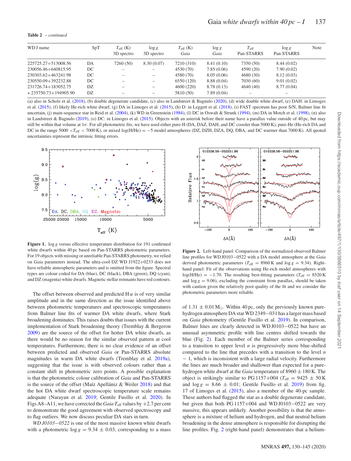**Table 2** – *continued*

| WD J name                | SpT | $T_{\rm eff}$ (K) | $\log g$                 | $T_{\rm eff}$ (K) | $\log g$   | $T_{\rm eff}$ | $\log g$   | Note |
|--------------------------|-----|-------------------|--------------------------|-------------------|------------|---------------|------------|------|
|                          |     | 3D spectro        | 3D spectro               | Gaia              | Gaia       | Pan-STARRS    | Pan-STARRS |      |
| 225725.27+513008.56      | DA  | 7260 (50)         | 8.30(0.07)               | 7210 (310)        | 8.41(0.10) | 7350 (50)     | 8.44(0.02) |      |
| 230056.46+640815.95      | DC  |                   |                          | 4530 (70)         | 7.85(0.06) | 4590 (20)     | 7.90(0.02) |      |
| 230303.62+463241.98      | DC  |                   | $\overline{\phantom{0}}$ | 4580 (70)         | 8.05(0.06) | 4680(30)      | 8.12(0.03) |      |
| 230550.09+392232.88      | DC  |                   | $\overline{\phantom{0}}$ | 6550 (120)        | 8.88(0.04) | 7030 (60)     | 9.01(0.02) |      |
| 231726.74+183052.75      | DZ  |                   | $\overline{\phantom{0}}$ | 4600 (220)        | 8.78(0.13) | 4640(40)      | 8.77(0.04) |      |
| $*235750.73 + 194905.90$ | DZ  |                   | $\qquad \qquad$          | 5810 (50)         | 7.89(0.04) |               |            |      |

(a) also in Scholz et al. (2018), (b) double degenerate candidate, (c) also in Landstreet & Bagnulo (2020), (d) wide double white dwarf, (e) DAH: in Limoges et al. (2015), (f) likely He-rich white dwarf, (g) DA in Limoges et al. (2015), (h) D: in Leggett et al. (2018), (i) FAST spectrum has poor S/N, Balmer line fit uncertain, (j) main-sequence star in Reid et al. (2004), (k) WD in Greenstein (1984), (l) DC in Oswalt & Strunk (1994), (m) DA in Motch et al. (1998), (n) also in Landstreet & Bagnulo (2019), (o) DC: in Limoges et al. (2015). Objects with an asterisk before their name have a parallax value outside of 40 pc, but may still be within that volume at 1*σ*. For all photometric fits, we have used either pure-H (DA, DAZ, DAH, and DC coooler than 5000 K), pure-He (He-rich DA and DC in the range 5000 *<T*eff *<* 7000 K), or mixed log(H/He) = −5 model atmospheres (DZ, DZH, DZA, DQ, DBA, and DC warmer than 7000 K). All quoted uncertainties represent the intrinsic fitting errors.



**Figure 1.** log *g* versus effective temperature distribution for 191 confirmed white dwarfs within 40 pc based on Pan-STARRS photometric parameters. For 19 objects with missing or unreliable Pan-STARRS photometry, we relied on *Gaia* parameters instead. The ultra-cool DZ WD J1922+0233 does not have reliable atmospheric parameters and is omitted from the figure. Spectral types are colour coded for DA (blue), DC (black), DBA (green), DQ (cyan), and DZ (magenta) white dwarfs. Magnetic stellar remnants have red contours.

The offset between observed and predicted  $H \alpha$  is of very similar amplitude and in the same direction as the issue identified above between photometric temperatures and spectroscopic temperatures from Balmer line fits of warmer DA white dwarfs, where Stark broadening dominates. This raises doubts that issues with the current implementation of Stark broadening theory (Tremblay & Bergeron 2009) are the source of the offset for hotter DA white dwarfs, as there would be no reason for the similar observed pattern at cool temperatures. Furthermore, there is no clear evidence of an offset between predicted and observed *Gaia* or Pan-STARRS absolute magnitudes in warm DA white dwarfs (Tremblay et al. 2019a), suggesting that the issue is with observed colours rather than a constant shift in photometric zero points. A possible explanation is that the photometric colour calibration of *Gaia* and Pan-STARRS is the source of the offset (Maíz Apellániz & Weiler  $2018$ ) and that the hot DA white dwarf spectroscopic temperature scale remains adequate (Narayan et al. 2019; Gentile Fusillo et al. 2020). In Figs A8–A11, we have corrected the *Gaia*  $T_{\text{eff}}$  values by  $+2.7$  per cent to demonstrate the good agreement with observed spectroscopy and to flag outliers. We now discuss peculiar DA stars in turn.

*WD J0103*−0522 is one of the most massive known white dwarfs with a photometric  $\log g = 9.34 \pm 0.03$ , corresponding to a mass



**Figure 2.** Left-hand panel: Comparison of the normalized observed Balmer line profiles for WD J0103−0522 with a DA model atmosphere at the *Gaia* derived photometric parameters ( $T_{\text{eff}}$  = 8960 K and log *g* = 9.34). Righthand panel: Fit of the observations using He-rich model atmospheres with  $log(H/He) = -1.70$ . The resulting best-fitting parameters ( $T_{\text{eff}} = 8520 \text{ K}$ ) and  $\log g = 9.06$ , excluding the constraint from parallax, should be taken with caution given the relatively poor quality of the fit and we consider the photometric parameters more reliable.

of  $1.31 \pm 0.01 \,\mathrm{M}_{\odot}$ . Within 40 pc, only the previously known purehydrogen atmosphere DA star WD 2349−031 has a larger mass based on *Gaia* photometry (Gentile Fusillo et al. 2019). In comparison, Balmer lines are clearly detected in WD J0103−0522 but have an unusual asymmetric profile with line centres shifted towards the blue (Fig. 2). Each member of the Balmer series corresponding to a transition to upper level *n* is progressively more blue-shifted compared to the line that precedes with a transition to the level *n* − 1, which is inconsistent with a large radial velocity. Furthermore the lines are much broader and shallower than expected for a purehydrogen white dwarf at the *Gaia* temperature of 8960 ± 180 K. The object is strikingly similar to PG 1157+004 ( $T_{\text{eff}}$  = 9425  $\pm$  50 K and  $\log g = 8.66 \pm 0.01$ ; Gentile Fusillo et al. 2019) from fig. 17 of Limoges et al. (2015), also a member of the 40-pc sample. These authors had flagged the star as a double degenerate candidate, but given that both PG 1157+004 and WD J0103−0522 are very massive, this appears unlikely. Another possibility is that the atmosphere is a mixture of helium and hydrogen, and that neutral helium broadening in the dense atmosphere is responsible for disrupting the line profiles. Fig. 2 (right-hand panel) demonstrates that a helium-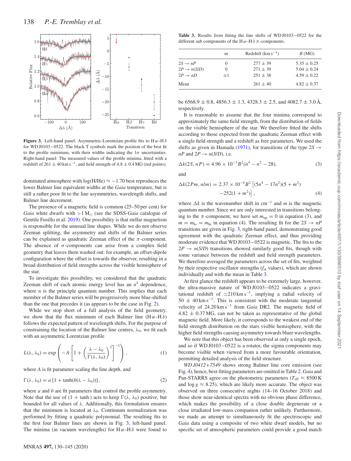

**Figure 3.** Left-hand panel: Asymmetric-Lorentzian profile fits to H *α*–H *δ* for WD J0103−0522. The black T symbols mark the position of the best fit to the profile minimum, with their widths indicating the  $1\sigma$  uncertainties. Right-hand panel: The measured values of the profile minima, fitted with a redshift of  $261 \pm 40$  km s<sup>-1</sup>, and field strength of  $4.8 \pm 0.4$  MG (red points).

dominated atmosphere with  $log(H/He) \approx -1.70$  best reproduces the lower Balmer line equivalent widths at the *Gaia* temperature, but is still a rather poor fit to the line asymmetries, wavelength shifts, and Balmer line decrement.

The presence of a magnetic field is common (25–50 per cent) for *Gaia* white dwarfs with  $>1$  M<sub> $\odot$ </sub> (see the SDSS-*Gaia* catalogue of Gentile Fusillo et al. 2019). One possibility is that stellar magnetism is responsible for the unusual line shapes. While we do not observe Zeeman splitting, the asymmetry and shifts of the Balmer series can be explained as quadratic Zeeman effect of the *π*-component. The absence of  $\sigma$ -components can arise from a complex field geometry that leaves them washed out: for example, an offset-dipole configuration where the offset is towards the observer, resulting in a broad distribution of field strengths across the visible hemisphere of the star.

To investigate this possibility, we considered that the quadratic Zeeman shift of each atomic energy level has an  $n<sup>4</sup>$  dependence, where  $n$  is the principle quantum number. This implies that each member of the Balmer series will be progressively more blue-shifted than the one that precedes it (as appears to be the case in Fig. 2).

While we stop short of a full analysis of the field geometry, we show that the flux minimum of each Balmer line  $(H \alpha - H \delta)$ follows the expected pattern of wavelength shifts. For the purpose of constraining the location of the Balmer line centres,  $\lambda_0$ , we fit each with an asymmetric Lorentzian profile

$$
L(\lambda, \lambda_0) = \exp\left(-A\left[1 + \left(\frac{\lambda - \lambda_0}{\Gamma(\lambda, \lambda_0)}\right)^2\right]^{-1}\right),\tag{1}
$$

where *A* is fit parameter scaling the line depth, and

$$
\Gamma(\lambda, \lambda_0) = a \left[ 1 + \tanh(b(\lambda - \lambda_0)) \right],\tag{2}
$$

where *a* and *b* are fit parameters that control the profile asymmetry. Note that the use of  $(1 + \tanh)$  acts to keep  $\Gamma(\lambda, \lambda_0)$  positive, but bounded for all values of *λ*. Additionally, this formulation ensures that the minimum is located at  $\lambda_0$ . Continuum normalization was performed by fitting a quadratic polynomial. The resulting fits to the first four Balmer lines are shown in Fig. 3, left-hand panel. The minima (in vacuum wavelengths) for  $H \alpha - H \delta$  were found to

**Table 3.** Results from fitting the line shifts of WD J0103−0522 for the different sub components of the H *α*–H *δ π*-components.

|                         | m        | Redshift $(km s^{-1})$ | B(MG)           |
|-------------------------|----------|------------------------|-----------------|
| $2S \rightarrow nP$     | $\theta$ | $277 \pm 39$           | $5.35 \pm 0.25$ |
| $2P \rightarrow n(S/D)$ | $\Omega$ | $271 \pm 39$           | $5.04 \pm 0.24$ |
| $2P \rightarrow nD$     | $+1$     | $251 \pm 38$           | $4.59 \pm 0.22$ |
| Mean                    |          | $261 \pm 40$           | $4.82 \pm 0.37$ |

be 6568.9  $\pm$  0.8, 4856.3  $\pm$  1.3, 4328.3  $\pm$  2.5, and 4082.7  $\pm$  3.0 Å, respectively.

It is reasonable to assume that the four minima correspond to approximately the same field strength, from the distribution of fields on the visible hemisphere of the star. We therefore fitted the shifts according to those expected from the quadratic Zeeman effect with a single field strength and a redshift as free parameters. We used the shifts as given in Hamada (1971), for transitions of the type  $2S \rightarrow$ *nP* and  $2P \rightarrow n(S/D)$ , i.e.

$$
\Delta k(2S, nP) = 4.96 \times 10^{-3} B^2 (n^4 - n^2 - 28),\tag{3}
$$

and

$$
\Delta k(2Pm, nlm) = 2.37 \times 10^{-4} B^2 \left[ (5n^4 - 17n^2)(5 + m^2) -252(1 + m^2) \right],
$$
\n(4)

where  $\Delta k$  is the wavenumber shift in cm<sup>-1</sup> and *m* is the magnetic quantum number. Since we are only interested in transitions belonging to the  $\pi$ -component, we have set  $m_{\text{up}} = 0$  in equation (3), and  $m = m_{\text{lo}} = m_{\text{hi}}$  in equation (4). The resulting fit for the  $2S \rightarrow nP$ transitions are given in Fig. 3, right-hand panel, demonstrating good agreement with the quadratic Zeeman effect, and thus providing moderate evidence that WD J0103−0522 is magnetic. The fits to the  $2P \rightarrow n(S/D)$  transitions showed similarly good fits, though with some variance between the redshift and field strength parameters. We therefore averaged the parameters across the set of fits, weighted by their respective oscillator strengths (*fik* values), which are shown individually and with the mean in Table 3.

At first glance the redshift appears to be extremely large, however, the ultra-massive nature of WD J0103−0522 indicates a gravitational redshift of  $\approx$ 210 km s<sup>-1</sup>, implying a radial velocity of  $50 \pm 40$  km s<sup>-1</sup>. This is consistent with the moderate tangential velocity of 24.20 km s−<sup>1</sup> from *Gaia* DR2. The magnetic field of  $4.82 \pm 0.37 \text{ MG}$ , can not be taken as representative of the global magnetic field. More likely, it corresponds to the weakest end of the field strength distribution on the stars visible hemisphere, with the higher field strengths causing asymmetry towards bluer wavelengths.

We note that this object has been observed at only a single epoch, and so if WD J0103−0522 is a rotator, the sigma components may become visible when viewed from a more favourable orientation, permitting detailed analysis of the field structure.

*WD J0412*+*7549* shows strong Balmer line core emission (see Fig. 4), hence, best-fitting parameters are omitted in Table 2. *Gaia* and Pan-STARRS agree on the photometric parameters ( $T_{\text{eff}} \approx 8500 \text{ K}$ and  $\log g \approx 8.25$ ), which are likely more accurate. The object was observed on three consecutive nights (14–16 October 2018) and those show near-identical spectra with no obvious phase difference, which makes the possibility of a close double degenerate or a close irradiated low-mass companion rather unlikely. Furthermore, we made an attempt to simultaneously fit the spectroscopic and *Gaia* data using a composite of two white dwarf models, but no specific set of atmospheric parameters could provide a good match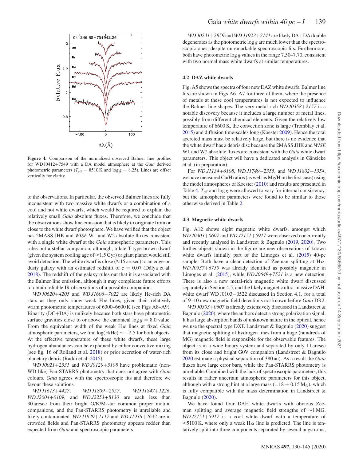

**Figure 4.** Comparison of the normalized observed Balmer line profiles for WD J0412+7549 with a DA model atmosphere at the *Gaia* derived photometric parameters ( $T_{\text{eff}}$  = 8510 K and log  $g$  = 8.25). Lines are offset vertically for clarity.

to the observations. In particular, the observed Balmer lines are fully inconsistent with two massive white dwarfs or a combination of a cool and hot white dwarfs, which would be required to explain the relatively small *Gaia* absolute fluxes. Therefore, we conclude that the observations show line emission that is likely to originate from or close to the white dwarf photosphere. We have verified that the object has 2MASS JHK and *WISE* W1 and W2 absolute fluxes consistent with a single white dwarf at the *Gaia* atmospheric parameters. This rules out a stellar companion, although, a late T-type brown dwarf (given the system cooling age of  $\approx$ 1.5 Gyr) or giant planet would still avoid detection. The white dwarf is close ( $\approx$ 15 arcsec) to an edge-on dusty galaxy with an estimated redshift of  $z = 0.07$  (Dálya et al. 2018). The redshift of the galaxy rules out that it is associated with the Balmer line emission, although it may complicate future efforts to obtain reliable IR observations of a possible companion.

*WD J0620*+*4205* and *WD J1606*+*7022* are likely He-rich DA stars as they only show weak  $H\alpha$  lines, given their relatively warm photometric temperatures of 6300–6600 K (see Figs A8–A9). Binarity (DC+DA) is unlikely because both stars have photometric surface gravities close to or above the canonical  $\log g = 8.0$  value. From the equivalent width of the weak H *α* lines at fixed *Gaia* atmospheric parameters, we find  $log(H/He) \sim -2.5$  for both objects. At the effective temperature of these white dwarfs, these large hydrogen abundances can be explained by either convective mixing (see fig. 16 of Rolland et al. 2018) or prior accretion of water-rich planetary debris (Raddi et al. 2015).

*WD J0021*+*2531* and *WD J0129*+*5108* have problematic (non-WD like) Pan-STARRS photometry that does not agree with *Gaia* colours. *Gaia* agrees with the spectroscopic fits and therefore we favour these solutions.

*WD J1613*+*4427*, *WD J1809*+*2957*, *WD J1847*+*1226*, *WD J2004*+*0109*, and *WD J2253*+*8130* are each less than 30 arcsec from their bright G/K/M-star common proper motion companions, and the Pan-STARRS photometry is unreliable and likely contaminated. *WD J1929*+*1117* and *WD J1936*+*2632* are in crowded fields and Pan-STARRS photometry appears redder than expected from *Gaia* and spectroscopic parameters.

*WD J0231*+*2859* and *WD J1923*+*2141* are likely DA+DA double degenerates as the photometric log *g* are much lower than the spectroscopic ones, despite unremarkable spectroscopic fits. Furthermore, both have photometric log *g* values in the range 7.50–7.70, consistent with two normal mass white dwarfs at similar temperatures.

#### **4.2 DAZ white dwarfs**

Fig. A5 shows the spectra of four new DAZ white dwarfs. Balmer line fits are shown in Figs A6–A7 for three of them, where the presence of metals at these cool temperatures is not expected to influence the Balmer line shapes. The very metal-rich *WD J0358*+*2157* is a notable discovery because it includes a large number of metal lines, possibly from different chemical elements. Given the relatively low temperature of 6600 K, the convection zone is large (Tremblay et al. 2015) and diffusion time-scales long (Koester 2009). Hence the total accreted mass must be relatively large, but there is no evidence that the white dwarf has a debris disc because the 2MASS JHK and *WISE* W1 and W2 absolute fluxes are consistent with the *Gaia* white dwarf parameters. This object will have a dedicated analysis in Gänsicke et al. (in preparation).

For *WD J1134*+*6108*, *WD J1749*−*2355*, and *WD J1802*+*1354*, we have measured Ca/H ratios (as well as Mg/H in the first case) using the model atmospheres of Koester (2010) and results are presented in Table 4.  $T_{\text{eff}}$  and log *g* were allowed to vary for internal consistency, but the atmospheric parameters were found to be similar to those otherwise derived in Table 2.

#### **4.3 Magnetic white dwarfs**

Fig. A12 shows eight magnetic white dwarfs, amongst which *WD J0303*+*0607* and *WD J2151*+*5917* were observed concurrently and recently analysed in Landstreet & Bagnulo (2019, 2020). Two further objects shown in the figure are new observations of known white dwarfs initially part of the Limoges et al. (2015) 40-pc sample. Both have a clear detection of Zeeman splitting at  $H\alpha$ . *WD J0537*+*6759* was already identified as possibly magnetic in Limoges et al. (2015), while *WD J0649*+*7521* is a new detection. There is also a new metal-rich magnetic white dwarf discussed separately in Section 4.5, and the likely magnetic ultra-massive DAH: white dwarf WD J0103−0522 discussed in Section 4.1, for a total of 9–10 new magnetic field detections not known before *Gaia* DR2.

*WD J0303*+*0607* is already extensively discussed in Landstreet & Bagnulo (2020), where the authors detect a strong polarization signal. It has large absorption bands of unknown nature in the optical, hence we use the spectral type DXP. Landstreet & Bagnulo (2020) suggest that magnetic splitting of hydrogen lines from a huge (hundreds of MG) magnetic field is responsible for the observable features. The object is in a wide binary system and separated by only 11 arcsec from its close and bright G0V companion (Landstreet & Bagnulo 2020 estimate a physical separation of 380 au). As a result the *Gaia* fluxes have large error bars, while the Pan-STARRS photometry is unreliable. Combined with the lack of spectroscopic parameters, this results in rather uncertain atmospheric parameters for this object, although with a strong hint at a large mass (1.18  $\pm$  0.15 M<sub>o</sub>), which is fully compatible with the mass determination in Landstreet & Bagnulo (2020).

We have found four DAH white dwarfs with obvious Zeeman splitting and average magnetic field strengths of ∼1 MG. *WD J2151*+*5917* is a cool white dwarf with a temperature of  $\approx$ 5100 K, where only a weak H  $\alpha$  line is predicted. The line is tentatively split into three components separated by several angstroms,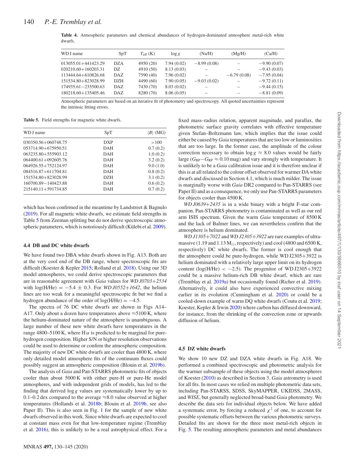| WD J name               | SpT        | $T_{\rm eff}$ (K) | $\log g$   | (Na/H)        | (Mg/H)        | (Ca/H)        |
|-------------------------|------------|-------------------|------------|---------------|---------------|---------------|
| $013055.01 + 441423.29$ | <b>DZA</b> | 4950 (20)         | 7.94(0.02) | $-8.99(0.08)$ |               | $-9.90(0.07)$ |
| $020210.60 + 160203.31$ | DZ.        | 4910 (50)         | 8.13(0.03) |               |               | $-9.43(0.03)$ |
| 113444.64+610826.68     | DAZ        | 7590 (40)         | 7.96(0.02) |               | $-6.79(0.08)$ | $-7.95(0.04)$ |
| 151534.80+823028.99     | <b>DZH</b> | 4490 (60)         | 7.90(0.05) | $-9.03(0.02)$ |               | $-9.72(0.11)$ |
| 174935.61-235500.63     | DAZ.       | 7430 (70)         | 8.03(0.02) |               |               | $-9.44(0.15)$ |
| 180218.60+135405.46     | DAZ.       | 8280 (70)         | 8.06(0.05) |               |               | $-8.81(0.09)$ |
|                         |            |                   |            |               |               |               |

**Table 4.** Atmospheric parameters and chemical abundances of hydrogen-dominated atmosphere metal-rich white dwarfs.

Atmospheric parameters are based on an iterative fit of photometry and spectroscopy. All quoted uncertainties represent the intrinsic fitting errors.

**Table 5.** Field strengths for magnetic white dwarfs.

| WD J name               | SpT        | $\langle B \rangle$ (MG) |
|-------------------------|------------|--------------------------|
| 030350.56+060748.75     | <b>DXP</b> | >100                     |
| 053714.90+675950.51     | DAH        | 0.7(0.2)                 |
| 063235.80+555903.12     | DAH        | 1.0(0.2)                 |
| $064400.61 + 092605.76$ | <b>DAH</b> | 3.2(0.2)                 |
| 064926.55+752124.97     | <b>DAH</b> | 9.0(1.0)                 |
| 084516.87+611704.81     | DAH        | 0.8(0.2)                 |
| 151534.80+823028.99     | <b>DZH</b> | 3.1(0.2)                 |
| 160700.89 - 140423.88   | DAH        | 0.6(0.2)                 |
| $215140.11 + 591734.85$ | DAH        | 0.7(0.2)                 |
|                         |            |                          |

which has been confirmed in the meantime by Landstreet & Bagnulo (2019). For all magnetic white dwarfs, we estimate field strengths in Table 5 from Zeeman splitting but do not derive spectroscopic atmospheric parameters, which is notoriously difficult (Külebi et al. 2009).

#### **4.4 DB and DC white dwarfs**

We have found two DBA white dwarfs shown in Fig. A13. Both are at the very cool end of the DB range, where spectroscopic fits are difficult (Koester & Kepler 2015; Rolland et al. 2018). Using our 3D model atmospheres, we could derive spectroscopic parameters that are in reasonable agreement with *Gaia* values for *WD J0703*+*2534* with  $log(H/He) = -5.4 \pm 0.3$ . For *WD J0552+1642*, the helium lines are too weak for a meaningful spectroscopic fit but we find a hydrogen abundance of the order of  $log(H/He) = -4.5$ .

The spectra of 76 DC white dwarfs are shown in Figs A14– A17. Only about a dozen have temperatures above  $\approx$  5100 K, where the helium-dominated nature of the atmosphere is unambiguous. A large number of these new white dwarfs have temperatures in the range 4800–5100 K, where H $\alpha$  is predicted to be marginal for purehydrogen composition. Higher S/N or higher resolution observations could be used to determine or confirm the atmospheric composition. The majority of new DC white dwarfs are cooler than 4800 K, where only detailed model atmosphere fits of the continuum fluxes could possibly suggest an atmospheric composition (Blouin et al. 2019b).

The analysis of *Gaia* and Pan-STARRS photometric fits of objects cooler than about 5000 K with either pure-H or pure-He model atmospheres, and with independent grids of models, has led to the finding that derived log *g* values are systematically lower by up to 0.1–0.2 dex compared to the average  $\approx 8.0$  value observed at higher temperatures (Hollands et al. 2018b; Blouin et al. 2019b, see also Paper II). This is also seen in Fig. 1 for the sample of new white dwarfs observed in this work. Since white dwarfs are expected to cool at constant mass even for that low-temperature regime (Tremblay et al. 2016), this is unlikely to be a real astrophysical effect. For a fixed mass–radius relation, apparent magnitude, and parallax, the photometric surface gravity correlates with effective temperature given Stefan–Boltzmann law, which implies that the issue could either be caused by *Gaia* temperatures that are too low or luminosities that are too large. In the former case, the amplitude of the colour correction necessary to obtain  $\log g \approx 8.0$  values would be fairly large ( $G_{BP}$ − $G_{RP}$  ≈ 0.10 mag) and vary strongly with temperature. It is unlikely to be a *Gaia* calibration issue and it is therefore unclear if this is at all related to the colour offset observed for warmer DA white dwarfs and discussed in Section 4.1, which is much milder. The issue is marginally worse with *Gaia* DR2 compared to Pan-STARRS (see Paper II) and as a consequence, we only use Pan-STARRS parameters for objects cooler than 4500 K.

*WD J0639*+*2435* is in a wide binary with a bright F-star companion. Pan-STARRS photometry is contaminated as well as our red arm ISIS spectrum. Given the warm *Gaia* temperature of 8500 K and the lack of Balmer lines, we can nevertheless confirm that the atmosphere is helium dominated.

*WD J1305*+*7022* and *WD J2305*+*3922* are rare examples of ultramassive (1.19 and 1.13  $M_{\odot}$ , respectively) and cool (4800 and 6500 K, respectively) DC white dwarfs. The former is cool enough that the atmosphere could be pure-hydrogen, while WD J2305+3922 is helium dominated with a relatively large upper limit on its hydrogen content ( $log(H/He) < -2.5$ ). The progenitor of WD J2305+3922 could be a massive helium-rich DB white dwarf, which are rare (Tremblay et al. 2019a) but occasionally found (Richer et al. 2019). Alternatively, it could also have experienced convective mixing earlier in its evolution (Cunningham et al. 2020) or could be a cooled-down example of warm DQ white dwarfs (Coutu et al. 2019; Koester, Kepler & Irwin 2020) where carbon has diffused downward, for instance, from the shrinking of the convection zone or upwards diffusion of helium.

#### **4.5 DZ white dwarfs**

We show 10 new DZ and DZA white dwarfs in Fig. A18. We performed a combined spectroscopic and photometric analysis for the warmer subsample of these objects using the model atmospheres of Koester (2010) as described in Section 3. *Gaia* astrometry is used for all fits. In most cases we relied on multiple photometric data sets, including Pan-STARSS, SDSS, SkyMAPPER, UKIDSS, 2MASS, and *WISE*, but generally neglected broad-band *Gaia* photometry. We describe the data sets for individual objects below. We have added a systematic error, by forcing a reduced  $\chi^2$  of one, to account for possible systematic offsets between the various photometric surveys. Detailed fits are shown for the three most metal-rich objects in Fig. 5. The resulting atmospheric parameters and metal abundances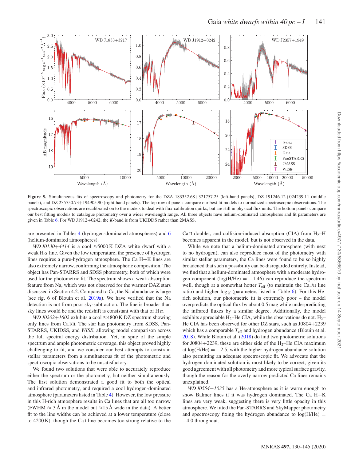

**Figure 5.** Simultaneous fits of spectroscopy and photometry for the DZA 183352.68+321757.25 (left-hand panels), DZ 191246.12+024239.11 (middle panels), and DZ 235750.73+194905.90 (right-hand panels). The top row of panels compare our best fit models to normalized spectroscopic observations. The spectroscopic observations are recalibrated on to the models to deal with flux-calibration quirks, but are still in physical flux units. The bottom panels compare our best fitting models to catalogue photometry over a wider wavelength range. All three objects have helium-dominated atmospheres and fit parameters are given in Table 6. For WD J1912+0242, the *K*-band is from UKIDDS rather than 2MASS.

are presented in Tables 4 (hydrogen-dominated atmospheres) and 6 (helium-dominated atmospheres).

Ca II doublet, and collision-induced absorption (CIA) from  $H_2$ –H becomes apparent in the model, but is not observed in the data.

*WD J0130+4414* is a cool  $\approx$  5000 K DZA white dwarf with a weak  $H\alpha$  line. Given the low temperature, the presence of hydrogen lines requires a pure-hydrogen atmosphere. The Ca H+K lines are also extremely narrow, confirming the atmospheric composition. The object has Pan-STARRS and SDSS photometry, both of which were used for the photometric fit. The spectrum shows a weak absorption feature from Na, which was not observed for the warmer DAZ stars discussed in Section 4.2. Compared to Ca, the Na abundance is large (see fig. 6 of Blouin et al. 2019a). We have verified that the Na detection is not from poor sky-subtraction. The line is broader than sky lines would be and the redshift is consistant with that of  $H\alpha$ .

*WD J0202+1602* exhibits a cool ≈4800 K DZ spectrum showing only lines from Ca I/II. The star has photometry from SDSS, Pan-STARRS, UKIDSS, and *WISE*, allowing model comparison across the full spectral energy distribution. Yet, in spite of the simple spectrum and ample photometric coverage, this object proved highly challenging to fit, and we consider our best attempts to constrain stellar parameters from a simultaneous fit of the photometric and spectroscopic observations to be unsatisfactory.

We found two solutions that were able to accurately reproduce either the spectrum or the photometry, but neither simultaneously. The first solution demonstrated a good fit to both the optical and infrared photometry, and required a cool hydrogen-dominated atmosphere (parameters listed in Table 4). However, the low pressure in this H-rich atmosphere results in Ca lines that are all too narrow (FWHM  $\approx$  3 Å in the model but  $\approx$ 15 Å wide in the data). A better fit to the line widths can be achieved at a lower temperature (close to 4200 K), though the Ca I line becomes too strong relative to the

While we note that a helium-dominated atmosphere (with next to no hydrogen), can also reproduce most of the photometry with similar stellar parameters, the Ca lines were found to be so highly broadened that such a possibility can be disregarded entirely. Instead, we find that a helium-dominated atmosphere with a moderate hydrogen component ( $log(H/He) = -1.46$ ) can reproduce the spectrum well, though at a somewhat hotter  $T_{\text{eff}}$  (to maintain the Ca<sub>I</sub>/II line ratio) and higher log *g* (parameters listed in Table 6). For this Herich solution, our photometric fit is extremely poor – the model overpredicts the optical flux by about 0.5 mag while underpredicting the infrared fluxes by a similar degree. Additionally, the model exhibits appreciable  $H_2$ –He CIA, while the observations do not.  $H_2$ – He CIA has been observed for other DZ stars, such as J0804+2239 which has a comparable  $T_{\text{eff}}$  and hydrogen abundance (Blouin et al. 2018). While Blouin et al. (2018) do find two photometric solutions for J0804+2239, these are either side of the  $H_2$ –He CIA maximum at  $log(H/He) = -2.5$ , with the higher hydrogen abundance solution also permitting an adequate spectroscopic fit. We advocate that the hydrogen-dominated solution is most likely to be correct, given its good agreement with all photometry and more typical surface gravity, though the reason for the overly narrow predicted Ca lines remains unexplained.

*WD J0554*−*1035* has a He-atmosphere as it is warm enough to show Balmer lines if it was hydrogen dominated. The Ca H+K lines are very weak, suggesting there is very little opacity in this atmosphere. We fitted the Pan-STARRS and SkyMapper photometry and spectroscopy fixing the hydrogen abundance to  $log(H/He)$  = −4.0 throughout.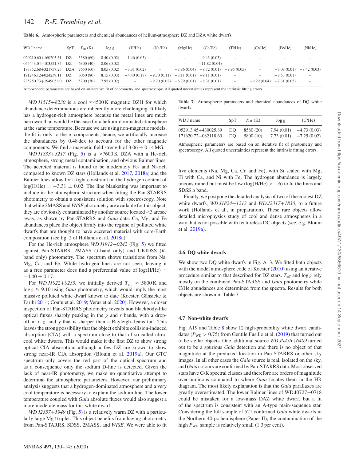|  |  | Table 6. Atmospheric parameters and chemical abundances of helium-atmosphere DZ and DZA white dwarfs. |  |
|--|--|-------------------------------------------------------------------------------------------------------|--|
|--|--|-------------------------------------------------------------------------------------------------------|--|

| WD J name                         | SpT | $T_{\rm eff}$ (K) | $\log g$    | (H/He)                   | (Na/He)                  | (Mg/He)           | (Ca/He)                                   | (Ti/He)                  | (Cr/He)                  | (Fe/He)                   | (Ni/He)                  |
|-----------------------------------|-----|-------------------|-------------|--------------------------|--------------------------|-------------------|-------------------------------------------|--------------------------|--------------------------|---------------------------|--------------------------|
| $020210.60 + 160203.31$ DZ        |     | 5380 (60)         | 8.40 (0.02) | $-1.46(0.03)$            | $\overline{\phantom{a}}$ | $\qquad \qquad -$ | $-9.43(0.03)$                             | -                        |                          |                           |                          |
| 055443.04 - 103521.34             | DZ  | 6300(40)          | 8.06 (0.02) | -                        | $\overline{\phantom{a}}$ | $\qquad \qquad -$ | $-11.82(0.04)$                            | -                        | -                        |                           |                          |
| 183352.68+321757.25 DZA 7650 (60) |     |                   | 8.05(0.02)  | $-3.31(0.02)$            | $\overline{\phantom{a}}$ |                   | $-7.86(0.04)$ $-8.72(0.01)$ $-9.95(0.05)$ |                          | $\overline{\phantom{0}}$ | $-7.08(0.01)$             | $-8.42(0.03)$            |
| 191246.12+024239.11               | DZ  | 6050(80)          | 8.15(0.03)  | $-4.40(0.17)$            |                          |                   | $-9.70(0.11) -8.11(0.01) -9.11(0.01)$     | -                        | $\qquad \qquad -$        | $-8.53(0.01)$             | $\overline{\phantom{a}}$ |
| 235750.73+194905.90               | DZ  | 5700 (30)         | 7.95(0.02)  | $\overline{\phantom{a}}$ | $-9.20(0.02)$            |                   | $-6.79(0.01)$ $-8.31(0.01)$               | $\overline{\phantom{a}}$ |                          | $-9.29(0.04) -7.31(0.02)$ | $\overline{\phantom{0}}$ |

Atmospheric parameters are based on an iterative fit of photometry and spectroscopy. All quoted uncertainties represent the intrinsic fitting errors.

*WD J1515*+8230 is a cool ≈4500 K magnetic DZH for which abundance determinations are inherently more challenging. It likely has a hydrogen-rich atmosphere because the metal lines are much narrower than would be the case for a helium-dominated atmosphere at the same temperature. Because we are using non-magnetic models, the fit is only to the  $\pi$ -components, hence, we artificially increase the abundances by 0.48 dex to account for the other magnetic components. We find a magnetic field strength of  $3.06 \pm 0.14$  MG.

*WD J1833*+3217 (Fig. 5) is a ≈7600 K DZA with a He-rich atmosphere, strong metal contamination, and obvious Balmer lines. The accreted material is found to be moderately Fe- and Ni-rich compared to known DZ stars (Hollands et al. 2017, 2018a) and the Balmer lines allow for a tight constraint on the hydrogen content of  $log(H/He) = -3.31 \pm 0.02$ . The line blanketing was important to include in the atmospheric structure when fitting the Pan-STARRS photometry to obtain a consistent solution with spectroscopy. Note that while 2MASS and *WISE* photometry are available for this object, they are obviously contaminated by another source located *<*3 arcsec away, as shown by Pan-STARRS and *Gaia* data. Ca, Mg, and Fe abundances place the object firmly into the regime of polluted white dwarfs that are thought to have accreted material with core-Earth composition (see fig. 2 of Hollands et al. 2018a).

For the He-rich atmosphere *WD J1912*+*0242* (Fig. 5) we fitted against Pan-STARRS, 2MASS (*J*-band only) and UKIDSS (*K*band only) photometry. The spectrum shows transitions from Na, Mg, Ca, and Fe. While hydrogen lines are not seen, leaving it as a free parameter does find a preferential value of  $log(H/He)$  =  $-4.40 \pm 0.17$ .

For *WD J1922*+0233, we initially derived  $T_{\text{eff}} \approx 5800 \text{ K}$  and  $\log g \approx 9.10$  using *Gaia* photometry, which would imply the most massive polluted white dwarf known to date (Koester, Gänsicke  $\&$ Farihi 2014; Coutu et al. 2019; Veras et al. 2020). However, a closer inspection of Pan-STARRS photometry reveals non blackbody-like optical fluxes sharply peaking in the *g* and *r* bands, with a dropoff in *i*, *z*, and *y* that is sharper than a Rayleigh–Jeans tail. This leaves the strong possibility that the object exhibits collision-induced absorption (CIA) with a spectrum close to that of so-called ultracool white dwarfs. This would make it the first DZ to show strong optical CIA absorption, although a few DZ are known to show strong near-IR CIA absorption (Blouin et al. 2019a). Our GTC spectrum only covers the red part of the optical spectrum and as a consequence only the sodium D-line is detected. Given the lack of near-IR photometry, we make no quantitative attempt to determine the atmospheric parameters. However, our preliminary analysis suggests that a hydrogen-dominated atmosphere and a very cool temperature is necessary to explain the sodium line. The lower temperature coupled with *Gaia* absolute fluxes would also suggest a more moderate mass for this white dwarf.

*WD J2357*+*1949* (Fig. 5) is a relatively warm DZ with a particularly large Mg I triplet. This object benefits from having photometry from Pan-STARRS, SDSS, 2MASS, and *WISE*. We were able to fit

**Table 7.** Atmospheric parameters and chemical abundances of DO white dwarfs.

| WD J name           | SpT | $T_{\rm eff}$ (K) | $\log g$    | (C/He)        |
|---------------------|-----|-------------------|-------------|---------------|
| 052913.45+430025.89 | DO  | 8580 (20)         | 7.94(0.01)  | $-4.73(0.03)$ |
| 171620.72-082118.60 | DO  | 5800 (10)         | 7.73 (0.01) | $-7.25(0.02)$ |

Atmospheric parameters are based on an iterative fit of photometry and spectroscopy. All quoted uncertainties represent the intrinsic fitting errors.

five elements (Na, Mg, Ca, Cr, and Fe), with Si scaled with Mg, Ti with Ca, and Ni with Fe. The hydrogen abundance is largely unconstrained but must be low  $(log(H/He) < -6)$  to fit the lines and SDSS *u* band.

Finally, we postpone the detailed analysis of two of the coolest DZ white dwarfs, *WD J1824*+*1213* and *WD J2317*+*1830*, to a future work (Hollands et al., in preparation). These rare objects allow detailed microphysics study of cool and dense atmospheres in a way that is not possible with featureless DC objects (see, e.g. Blouin et al. 2019a).

#### **4.6 DQ white dwarfs**

We show two DQ white dwarfs in Fig. A13. We fitted both objects with the model atmosphere code of Koester (2010) using an iterative procedure similar to that described for DZ stars.  $T_{\text{eff}}$  and log *g* rely mostly on the combined Pan-STARSS and *Gaia* photometry while C/He abundances are determined from the spectra. Results for both objects are shown in Table 7.

#### **4.7 Non-white dwarfs**

Fig. A19 and Table 8 show 12 high-probability white dwarf candidates ( $P_{WD} > 0.75$ ) from Gentile Fusillo et al. (2019) that turned out to be stellar objects. One additional source *WD J0456*+*6409* turned out to be a spurious *Gaia* detection and there is no object of that magnitude at the predicted location in Pan-STARRS or other sky images. In all other cases the *Gaia* source is real, isolated on the sky, and *Gaia* colours are confirmed by Pan-STARRS data. Most observed stars have G/K spectral classes and therefore are orders of magnitude over-luminous compared to where *Gaia* locates them in the HR diagram. The most likely explanation is that the *Gaia* parallaxes are greatly overestimated. The lower Balmer lines of WD J0727−0718 could be mistaken for a low-mass DAZ white dwarf, but a fit of the spectrum is consistent with an A-type main-sequence star. Considering the full sample of 521 confirmed *Gaia* white dwarfs in the Northern 40-pc hemisphere (Paper II), the contamination of the high  $P_{WD}$  sample is relatively small (1.3 per cent).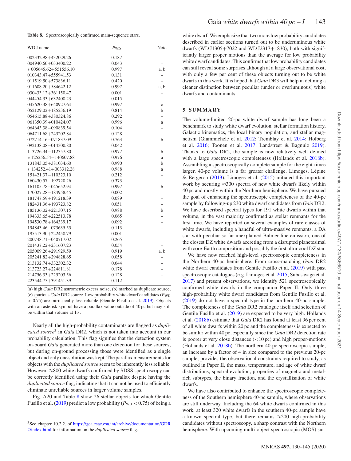| Table 8. Spectroscopically confirmed main-sequence stars. |  |  |
|-----------------------------------------------------------|--|--|
|-----------------------------------------------------------|--|--|

| WD J name                | $P_{WD}$ | Note                     |
|--------------------------|----------|--------------------------|
| 002332.98+432029.26      | 0.187    |                          |
| 004940.60+033400.22      | 0.043    |                          |
| $*005645.62 + 551556.10$ | 0.997    | a, b                     |
| 010343.47+555941.53      | 0.131    |                          |
| 011519.50+573836.11      | 0.420    |                          |
| 011608.20+584642.12      | 0.997    | a, b                     |
| 030433.12+361150.47      | 0.001    |                          |
| 044454.33+632408.23      | 0.015    |                          |
| 045620.38+640927.64      | 0.997    | $\mathbf{c}$             |
| 052129.02+185236.19      | 0.814    | b                        |
| 054615.88+380324.86      | 0.292    | $\overline{\phantom{0}}$ |
| 061350.39+010424.07      | 0.996    | a                        |
| 064643.38-090839.54      | 0.104    |                          |
| 064711.68+243202.84      | 0.128    | $\overline{\phantom{0}}$ |
| 072714.16-071837.09      | 0.763    | b                        |
| 092138.08-014300.80      | 0.042    | $\overline{\phantom{0}}$ |
| 113726.34-112357.80      | 0.977    | b                        |
| $*125256.54 - 140607.88$ | 0.976    | a                        |
| 131843.05+381034.60      | 0.990    | $\mathbf b$              |
| $*134252.41 + 003312.28$ | 0.988    | a                        |
| 151421.37-110323.10      | 0.212    |                          |
| 160430.57-192728.26      | 0.373    | $\overline{\phantom{0}}$ |
| 161105.78-045652.94      | 0.997    | b                        |
| 170027.28-184958.45      | 0.002    |                          |
| 181747.59+191218.39      | 0.089    |                          |
| 182431.36+193723.82      | 0.051    | $\overline{\phantom{0}}$ |
| 185136.02+221307.15      | 0.988    | b                        |
| 194333.65+222513.78      | 0.065    |                          |
| 194530.78+164339.17      | 0.092    |                          |
| 194843.46-073635.55      | 0.113    |                          |
| 195513.90+222458.79      | 0.001    |                          |
| 200748.71-040717.02      | 0.265    |                          |
| 201437.22+231607.23      | 0.054    | $\overline{a}$           |
| 205009.26+291929.59      | 0.919    | a, b                     |
| 205241.82+294828.65      | 0.058    |                          |
| 213132.74+332302.32      | 0.644    |                          |
| 213723.27+224811.81      | 0.178    |                          |
| 214756.33+225203.56      | 0.128    |                          |
| 223544.75+391451.39      | 0.112    |                          |

(a) high *Gaia* DR2 astrometric excess noise, (b) marked as duplicate source, (c) spurious *Gaia* DR2 source. Low probability white dwarf candidates ( $P_{WD}$ *<* 0.75) are intrinsically less reliable (Gentile Fusillo et al. 2019). Objects with an asterisk symbol have a parallax value outside of 40 pc but may still be within that volume at 1*σ*.

Nearly all the high-probability contaminants are flagged as *duplicated source*<sup>3</sup> in *Gaia* DR2, which is not taken into account in our probability calculation. This flag signifies that the detection system on-board *Gaia* generated more than one detection for these sources, but during on-ground processing those were identified as a single object and only one solution was kept. The parallax measurements for objects with the *duplicated source* seem to be inherently less reliable. However, ≈800 white dwarfs confirmed by SDSS spectroscopy can be correctly identified using their *Gaia* parallax despite having the *duplicated source* flag, indicating that it can not be used to efficiently eliminate unreliable sources in larger volume samples.

Fig. A20 and Table 8 show 26 stellar objects for which Gentile Fusillo et al. (2019) predict a low probability ( $P_{WD}$  < 0.75) of being a white dwarf. We emphasize that two more low probability candidates described in earlier sections turned out to be underuminous white dwarfs (WD J1305+7022 and WD J2317+1830), both with significantly larger proper motions than the average for low probability white dwarf candidates. This confirms that low probability candidates can still reveal some surprises although at a large observational cost, with only a few per cent of these objects turning out to be white dwarfs in this work. It is hoped that *Gaia* DR3 will help in defining a cleaner distinction between peculiar (under or overluminous) white dwarfs and contaminants.

## **5 SUMMARY**

The volume-limited 20-pc white dwarf sample has long been a benchmark to study white dwarf evolution, stellar formation history, Galactic kinematics, the local binary population, and stellar magnetism (Giammichele et al. 2012; Tremblay et al. 2014; Holberg et al. 2016; Toonen et al. 2017; Landstreet & Bagnulo 2019). Thanks to *Gaia* DR2, the sample is now relatively well defined with a large spectroscopic completeness (Hollands et al. 2018b). Assembling a spectroscopically complete sample for the eight-times larger, 40-pc volume is a far greater challenge. Limoges, Lépine & Bergeron (2013), Limoges et al. (2015) initiated this important work by securing ≈300 spectra of new white dwarfs likely within 40 pc and mostly within the Northern hemisphere. We have pursued the goal of enhancing the spectroscopic completeness of the 40-pc sample by following-up 230 white dwarf candidates from *Gaia* DR2. We have described spectral types for 191 white dwarfs within that volume, in the vast majority confirmed as stellar remnants for the first time. We have reported on several examples of rare classes of white dwarfs, including a handful of ultra-massive remnants, a DA star with peculiar so-far unexplained Balmer line emission, one of the closest DZ white dwarfs accreting from a disrupted planetesimal with core-Earth composition and possibly the first ultra-cool DZ star.

We have now reached high-level spectroscopic completeness in the Northern 40-pc hemisphere. From cross-matching *Gaia* DR2 white dwarf candidates from Gentile Fusillo et al. (2019) with past spectroscopic catalogues (e.g. Limoges et al. 2015; Subasavage et al. 2017) and present observations, we identify 521 spectroscopically confirmed white dwarfs in the companion Paper II. Only three high-probability white dwarf candidates from Gentile Fusillo et al. (2019) do not have a spectral type in the northern 40-pc sample. The completeness of the *Gaia* DR2 catalogue itself and selection of Gentile Fusillo et al. (2019) are expected to be very high. Hollands et al. (2018b) estimate that *Gaia* DR2 has found at least 96 per cent of all white dwarfs within 20 pc and the completeness is expected to be similar within 40 pc, especially since the *Gaia* DR2 detection rate is poorer at very close distances (*<*10 pc) and high proper-motions (Hollands et al. 2018b). The northern 40-pc spectroscopic sample, an increase by a factor of 4 in size compared to the previous 20-pc sample, provides the observational constraints required to study, as outlined in Paper II, the mass, temperature, and age of white dwarf distributions, spectral evolution, properties of magnetic and metalrich subtypes, the binary fraction, and the crystallisation of white dwarfs.

We have also contributed to enhance the spectroscopic completeness of the Southern hemisphere 40-pc sample, where observations are still underway. Including the 64 white dwarfs confirmed in this work, at least 320 white dwarfs in the southern 40-pc sample have a known spectral type, but there remains  $\approx$  200 high-probability candidates without spectroscopy, a sharp contrast with the Northern hemisphere. With upcoming multi-object spectroscopic (MOS) sur-

<sup>&</sup>lt;sup>3</sup>See chapter 10.2.2. of [https://gea.esac.esa.int/archive/documentation/GDR](https://gea.esac.esa.int/archive/documentation/GDR2/index.html) 2/index.html for information on the *duplicated source* flag.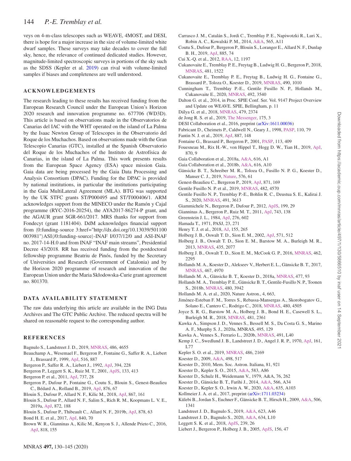veys on 4-m-class telescopes such as WEAVE, 4MOST, and DESI, there is hope for a major increase in the size of volume-limited white dwarf samples. These surveys may take decades to cover the full sky, hence, the relevance of continued dedicated studies. However, magnitude-limited spectroscopic surveys in portions of the sky such as the SDSS (Kepler et al. 2019) can rival with volume-limited samples if biases and completeness are well understood.

## **ACKNOWLEDGEMENTS**

The research leading to these results has received funding from the European Research Council under the European Union's Horizon 2020 research and innovation programme no. 677706 (WD3D). This article is based on observations made in the Observatorios de Canarias del IAC with the WHT operated on the island of La Palma by the Isaac Newton Group of Telescopes in the Observatorio del Roque de los Muchachos. Based on observations made with the Gran Telescopio Canarias (GTC), installed at the Spanish Observatorio del Roque de los Muchachos of the Instituto de Astrofísica de Canarias, in the island of La Palma. This work presents results from the European Space Agency (ESA) space mission Gaia. Gaia data are being processed by the Gaia Data Processing and Analysis Consortium (DPAC). Funding for the DPAC is provided by national institutions, in particular the institutions participating in the Gaia MultiLateral Agreement (MLA). BTG was supported by the UK STFC grants ST/P000495 and ST/T000406/1. ARM acknowledges support from the MINECO under the Ramón y Cajal programme (RYC-2016-20254), the AYA2017-86274-P grant, and the AGAUR grant SGR-661/2017. MRS thanks for support from Fondecyt (grant 1181404). DdM acknowledges financial support from -0:funding-source 3:href="http://dx.doi.org/10.13039/501100 003981")ASI(/0:funding-source)-INAF I/037/12/0 and ASI-INAF no. 2017-14-H.0 and from INAF "INAF main streams", Presidential Decree 43/2018. RR has received funding from the postdoctoral fellowship programme Beatriu de Pinós, funded by the Secretary of Universities and Research (Government of Catalonia) and by the Horizon 2020 programme of research and innovation of the European Union under the Maria Skłodowska-Curie grant agreement no. 801370.

## **DATA AVAILABILITY STATEMENT**

The raw data underlying this article are available in the ING Data Archives and The GTC Public Archive. The reduced spectra will be shared on reasonable request to the corresponding author.

#### **REFERENCES**

- Bagnulo S., Landstreet J. D., 2019, [MNRAS,](http://dx.doi.org/10.1093/mnras/stz1121) 486, 4655
- Beauchamp A., Wesemael F., Bergeron P., Fontaine G., Saffer R. A., Liebert J., Brassard P., 1999, [ApJ,](http://dx.doi.org/10.1086/307148) 516, 887
- Bergeron P., Saffer R. A., Liebert J., 1992, [ApJ,](http://dx.doi.org/10.1086/171575) 394, 228
- Bergeron P., Leggett S. K., Ruiz M. T., 2001, [ApJS,](http://dx.doi.org/10.1086/320356) 133, 413
- Bergeron P. et al., 2011, [ApJ,](http://dx.doi.org/10.1088/0004-637X/737/1/28) 737, 28
- Bergeron P., Dufour P., Fontaine G., Coutu S., Blouin S., Genest-Beaulieu C., Bédard A., Rolland B., 2019, [ApJ,](http://dx.doi.org/10.3847/1538-4357/ab153a) 876, 67
- Blouin S., Dufour P., Allard N. F., Kilic M., 2018, [ApJ,](http://dx.doi.org/10.3847/1538-4357/aae53a) 867, 161
- Blouin S., Dufour P., Allard N. F., Salim S., Rich R. M., Koopmans L. V. E., 2019a, [ApJ,](http://dx.doi.org/10.3847/1538-4357/ab0081) 872, 188
- Blouin S., Dufour P., Thibeault C., Allard N. F., 2019b, [ApJ,](http://dx.doi.org/10.3847/1538-4357/ab1f82) 878, 63
- Bond H. E. et al., 2017, [ApJ,](http://dx.doi.org/10.3847/1538-4357/aa6af8) 840, 70
- Brown W. R., Gianninas A., Kilic M., Kenyon S. J., Allende Prieto C., 2016, [ApJ,](http://dx.doi.org/10.3847/0004-637X/818/2/155) 818, 155
- Carrasco J. M., Catalán S., Jordi C., Tremblay P. E., Napiwotzki R., Luri X., Robin A. C., Kowalski P. M., 2014, [A&A,](http://dx.doi.org/10.1051/0004-6361/201220596) 565, A11
- Coutu S., Dufour P., Bergeron P., Blouin S., Loranger E., Allard N. F., Dunlap B. H., 2019, [ApJ,](http://dx.doi.org/10.3847/1538-4357/ab46b9) 885, 74
- Cui X.-Q. et al., 2012, [RAA,](http://dx.doi.org/10.1088/1674-4527/12/9/003) 12, 1197
- Cukanovaite E., Tremblay P. E., Freytag B., Ludwig H. G., Bergeron P., 2018, [MNRAS,](http://dx.doi.org/10.1093/mnras/sty2383) 481, 1522
- Cukanovaite E., Tremblay P. E., Freytag B., Ludwig H. G., Fontaine G., Brassard P., Toloza O., Koester D., 2019, [MNRAS,](http://dx.doi.org/10.1093/mnras/stz2656) 490, 1010
- Cunningham T., Tremblay P.-E., Gentile Fusillo N. P., Hollands M., Cukanovaite E., 2020, [MNRAS,](http://dx.doi.org/10.1093/mnras/stz3638) 492, 3540
- Dalton G. et al., 2014, in Proc. SPIE Conf. Ser. Vol. 9147 Project Overview and Update on WEAVE. SPIE, Bellingham, p. 11
- Dálya G. et al., 2018, [MNRAS,](http://dx.doi.org/10.1093/mnras/sty1703) 479, 2374
- de Jong R. S. et al., 2019, [The Messenger,](http://dx.doi.org/10.18727/0722-6691/5117) 175, 3
- DESI Collaboration et al., 2016, preprint [\(arXiv:1611.00036\)](https://arxiv.org/abs/1611.00036)
- Fabricant D., Cheimets P., Caldwell N., Geary J., 1998, [PASP,](http://dx.doi.org/10.1086/316111) 110, 79
- Fantin N. J. et al., 2019, [ApJ,](http://dx.doi.org/10.3847/1538-4357/ab5521) 887, 148
- Fontaine G., Brassard P., Bergeron P., 2001, [PASP,](http://dx.doi.org/10.1086/319535) 113, 409
- Fouesneau M., Rix H.-W., von Hippel T., Hogg D. W., Tian H., 2019, [ApJ,](http://dx.doi.org/10.3847/1538-4357/aaee74) 870, 9
- Gaia Collaboration et al., 2018a, [A&A,](http://dx.doi.org/10.1051/0004-6361/201833051) 616, A1
- Gaia Collaboration et al., 2018b, [A&A,](http://dx.doi.org/10.1051/0004-6361/201832843) 616, A10
- Gänsicke B. T., Schreiber M. R., Toloza O., Fusillo N. P. G., Koester D., Manser C. J., 2019, [Nature,](http://dx.doi.org/10.1038/s41586-019-1789-8) 576, 61
- Genest-Beaulieu C., Bergeron P., 2019, [ApJ,](http://dx.doi.org/10.3847/1538-4357/aafac6) 871, 169
- Gentile Fusillo N. P. et al., 2019, [MNRAS,](http://dx.doi.org/10.1093/mnras/sty3016) 482, 4570
- Gentile Fusillo N. P., Tremblay P.-E., Bohlin R. C., Deustua S. E., Kalirai J. S., 2020, [MNRAS,](http://dx.doi.org/10.1093/mnras/stz2984) 491, 3613
- Giammichele N., Bergeron P., Dufour P., 2012, [ApJS,](http://dx.doi.org/10.1088/0067-0049/199/2/29) 199, 29
- Gianninas A., Bergeron P., Ruiz M. T., 2011, [ApJ,](http://dx.doi.org/10.1088/0004-637X/743/2/138) 743, 138
- Greenstein J. L., 1984, [ApJ,](http://dx.doi.org/10.1086/161649) 276, 602
- Hamada T., 1971, PASJ, 23, 271
- Henry T. J. et al., 2018, [AJ,](http://dx.doi.org/10.3847/1538-3881/aac262) 155, 265
- Holberg J. B., Oswalt T. D., Sion E. M., 2002, [ApJ,](http://dx.doi.org/10.1086/339842) 571, 512 Holberg J. B., Oswalt T. D., Sion E. M., Barstow M. A., Burleigh M. R., 2013, [MNRAS,](http://dx.doi.org/10.1093/mnras/stt1433) 435, 2077
- Holberg J. B., Oswalt T. D., Sion E. M., McCook G. P., 2016, [MNRAS,](http://dx.doi.org/10.1093/mnras/stw1357) 462, 2295
- Hollands M. A., Koester D., Alekseev V., Herbert E. L., Gänsicke B. T., 2017, [MNRAS,](http://dx.doi.org/10.1093/mnras/stx250) 467, 4970
- Hollands M. A., Gänsicke B. T., Koester D., 2018a, [MNRAS,](http://dx.doi.org/10.1093/mnras/sty592) 477, 93
- Hollands M. A., Tremblay P. E., Gänsicke B. T., Gentile-Fusillo N. P., Toonen S., 2018b, [MNRAS,](http://dx.doi.org/10.1093/mnras/sty2057) 480, 3942

Hollands M. A. et al., 2020, Nature Astron., 4, 663,

- Jimenez-Esteban F. M., Torres S., Rebassa-Mansergas A., Skorobogatov G., ´ Solano E., Cantero C., Rodrigo C., 2018, [MNRAS,](http://dx.doi.org/10.1093/mnras/sty2120) 480, 4505
- Joyce S. R. G., Barstow M. A., Holberg J. B., Bond H. E., Casewell S. L., Burleigh M. R., 2018, [MNRAS,](http://dx.doi.org/10.1093/mnras/sty2404) 481, 2361
- Kawka A., Simpson J. D., Vennes S., Bessell M. S., Da Costa G. S., Marino A. F., Murphy S. J., 2020a, MNRAS, 495, 129
- Kawka A., Vennes S., Ferrario L., 2020b, [MNRAS,](http://dx.doi.org/10.1093/mnrasl/slz165) 491, L40
- Kemp J. C., Swedlund J. B., Landstreet J. D., Angel J. R. P., 1970, [ApJ,](http://dx.doi.org/10.1086/180574) 161,
- L77
- Kepler S. O. et al., 2019, [MNRAS,](http://dx.doi.org/10.1093/mnras/stz960) 486, 2169
- Koester D., 2009, [A&A,](http://dx.doi.org/10.1051/0004-6361/200811468) 498, 517
- Koester D., 2010, Mem. Soc. Astron. Italiana, 81, 921
- Koester D., Kepler S. O., 2015, [A&A,](http://dx.doi.org/10.1051/0004-6361/201527169) 583, A86
- Koester D., Schulz H., Weidemann V., 1979, A&A, 76, 262
- Koester D., Gänsicke B. T., Farihi J., 2014, [A&A,](http://dx.doi.org/10.1051/0004-6361/201423691) 566, A34
- Koester D., Kepler S. O., Irwin A. W., 2020, [A&A,](http://dx.doi.org/10.1051/0004-6361/202037530) 635, A103
- Kollmeier J. A. et al., 2017, preprint [\(arXiv:1711.03234\)](https://arxiv.org/abs/1711.03234)
- Külebi B., Jordan S., Euchner F., Gänsicke B. T., Hirsch H., 2009, [A&A,](http://dx.doi.org/10.1051/0004-6361/200912570) 506, 1341
- Landstreet J. D., Bagnulo S., 2019, [A&A,](http://dx.doi.org/10.1051/0004-6361/201834638) 623, A46
- Landstreet J. D., Bagnulo S., 2020, [A&A,](http://dx.doi.org/10.1051/0004-6361/201937301) 634, L10
- Leggett S. K. et al., 2018, [ApJS,](http://dx.doi.org/10.3847/1538-4365/aae7ca) 239, 26
- Liebert J., Bergeron P., Holberg J. B., 2005, [ApJS,](http://dx.doi.org/10.1086/425738) 156, 47